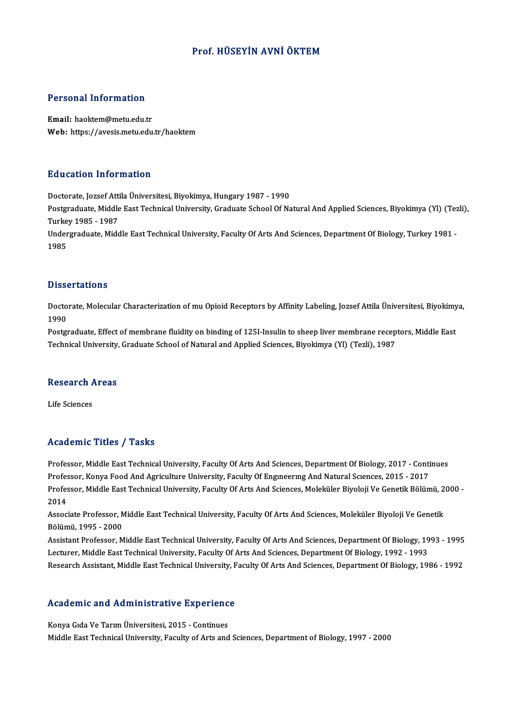#### Prof.HÜSEYİN AVNİÖKTEM

# Personal Information

Personal Information<br>Email: haoktem@metu.edu.tr<br>Web: https://avesis.metu.edu. Email: haoktem@metu.edu.tr<br>Web: https://avesis.metu.edu.tr/haoktem

#### Education Information

<mark>Education Information</mark><br>Doctorate, Jozsef Attila Üniversitesi, Biyokimya, Hungary 1987 - 1990<br>Postaraduate Middle Fast Technical University, Craduate School Of Na

Postgraduate, Middle East Technical University, Graduate School Of Natural And Applied Sciences, Biyokimya (Yl) (Tezli),<br>Turkey 1985 - 1987 Doctorate, Jozsef Atti<br>Postgraduate, Middle<br>Turkey 1985 - 1987<br>Undergraduate, Mide Postgraduate, Middle East Technical University, Graduate School Of Natural And Applied Sciences, Biyokimya (Yl) (Tez<br>Turkey 1985 - 1987<br>Undergraduate, Middle East Technical University, Faculty Of Arts And Sciences, Departm

Turke<br>Under<br>1985

# 1985<br>Dissertations

Dissertations<br>Doctorate, Molecular Characterization of mu Opioid Receptors by Affinity Labeling, Jozsef Attila Üniversitesi, Biyokimya,<br>1990 Disse<br>Docto<br>1990<br><sup>Doctor</sup> Doctorate, Molecular Characterization of mu Opioid Receptors by Affinity Labeling, Jozsef Attila Üniversitesi, Biyokimy<br>1990<br>Postgraduate, Effect of membrane fluidity on binding of 125I-Insulin to sheep liver membrane rece

1990<br>Postgraduate, Effect of membrane fluidity on binding of 125I-Insulin to sheep liver membrane receptors, Middle East<br>Technical University, Graduate School of Natural and Applied Sciences, Biyokimya (Yl) (Tezli), 1987

# rechnical University,<br>Research Areas **Research A**<br>Life Sciences

# Academic Titles / Tasks

Professor, Middle East Technical University, Faculty Of Arts And Sciences, Department Of Biology, 2017 - Continues Professor, Middle East Technical University, Faculty Of Arts And Sciences, Department Of Biology, 2017 - Conti<br>Professor, Konya Food And Agriculture University, Faculty Of Engmeering And Natural Sciences, 2015 - 2017<br>Profe Professor, Middle East Technical University, Faculty Of Arts And Sciences, Moleküler Biyoloji Ve Genetik Bölümü, 2000 -<br>2014 Profes<br>Profes<br>2014 Professor, Middle East Technical University, Faculty Of Arts And Sciences, Moleküler Biyoloji Ve Genetik Bölümü, 2<br>2014<br>Associate Professor, Middle East Technical University, Faculty Of Arts And Sciences, Moleküler Biyoloj

2014<br>Associate Professor, M<br>Bölümü, 1995 - 2000<br>Assistant Professor, M Associate Professor, Middle East Technical University, Faculty Of Arts And Sciences, Moleküler Biyoloji Ve Genetik<br>Bölümü, 1995 - 2000<br>Assistant Professor, Middle East Technical University, Faculty Of Arts And Sciences, De

Bölümü, 1995 - 2000<br>Assistant Professor, Middle East Technical University, Faculty Of Arts And Sciences, Department Of Biology, 1993 - 1995<br>Lecturer, Middle East Technical University, Faculty Of Arts And Sciences, Departme Assistant Professor, Middle East Technical University, Faculty Of Arts And Sciences, Department Of Biology, 1993 - 1995

# Research Assistant, Middle East Technical University, F.<br>Academic and Administrative Experience

Academic and Administrative Experienc<br>Konya Gıda Ve Tarım Üniversitesi, 2015 - Continues<br>Middle Fest Teshnisal University Fesulty of Arts and Konya Gıda Ve Tarım Üniversitesi, 2015 - Continues<br>Middle East Technical University, Faculty of Arts and Sciences, Department of Biology, 1997 - 2000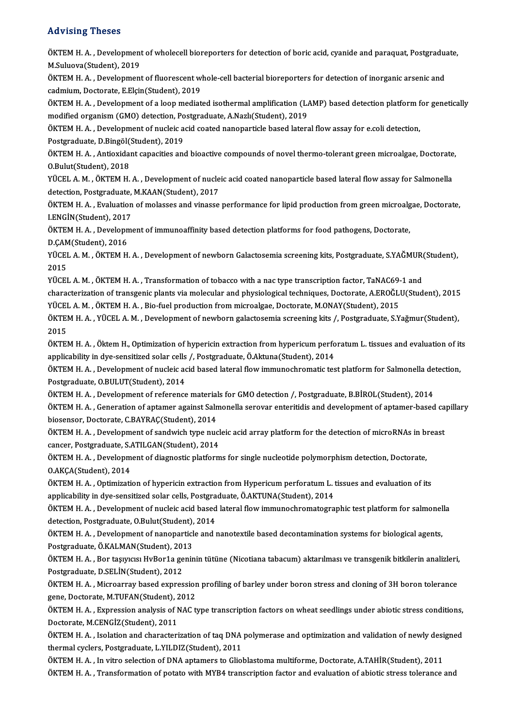#### Advising Theses

Advising Theses<br>ÖKTEM H. A. , Development of wholecell bioreporters for detection of boric acid, cyanide and paraquat, Postgraduate,<br>M.Sulueve(Student), 2010 May Ising<br>1987 - Saluova (Student), 2019<br>M.Suluova (Student), 2019<br>ÖKTEM H.A., Develenment ÖKTEM H. A. , Development of wholecell bioreporters for detection of boric acid, cyanide and paraquat, Postgradua<br>M.Suluova(Student), 2019<br>ÖKTEM H. A. , Development of fluorescent whole-cell bacterial bioreporters for dete

M.Suluova(Student), 2019<br>ÖKTEM H. A. , Development of fluorescent whole-cell bacterial bioreporters for detection of inorganic arsenic and<br>cadmium, Doctorate, E.Elçin(Student), 2019 ÖKTEM H. A. , Development of fluorescent whole-cell bacterial bioreporters for detection of inorganic arsenic and<br>cadmium, Doctorate, E.Elçin(Student), 2019<br>ÖKTEM H. A. , Development of a loop mediated isothermal amplifica

cadmium, Doctorate, E.Elçin(Student), 2019<br>ÖKTEM H. A. , Development of a loop mediated isothermal amplification (LA<br>modified organism (GMO) detection, Postgraduate, A.Nazlı(Student), 2019<br>ÖKTEM H. A., Development of augle ÖKTEM H. A. , Development of a loop mediated isothermal amplification (LAMP) based detection platform f<br>modified organism (GMO) detection, Postgraduate, A.Nazlı(Student), 2019<br>ÖKTEM H. A. , Development of nucleic acid coat

modified organism (GMO) detection, Postgraduate, A.Nazlı(Student), 2019<br>ÖKTEM H. A. , Development of nucleic acid coated nanoparticle based lateral flow assay for e.coli detection,<br>Postgraduate, D.Bingöl(Student), 2019 ÖKTEM H. A. , Development of nucleic acid coated nanoparticle based lateral flow assay for e.coli detection,<br>Postgraduate, D.Bingöl(Student), 2019<br>ÖKTEM H. A. , Antioxidant capacities and bioactive compounds of novel therm

Postgraduate, D.Bingöl<br>ÖKTEM H. A. , Antioxida<br>O.Bulut(Student), 2018<br>VÜCEL A. M. ÖVTEM H ÖKTEM H. A. , Antioxidant capacities and bioactive compounds of novel thermo-tolerant green microalgae, Doctorate<br>O.Bulut(Student), 2018<br>YÜCEL A. M. , ÖKTEM H. A. , Development of nucleic acid coated nanoparticle based lat

0.Bulut(Student), 2018<br>YÜCEL A. M. , ÖKTEM H. A. , Development of nucleic acid coated nanoparticle based lateral flow assay for Salmonella<br>detection, Postgraduate, M.KAAN(Student), 2017 YÜCEL A. M. , ÖKTEM H. A. , Development of nucleic acid coated nanoparticle based lateral flow assay for Salmonella<br>detection, Postgraduate, M.KAAN(Student), 2017<br>ÖKTEM H. A. , Evaluation of molasses and vinasse performanc

detection, Postgraduate,<br>ÖKTEM H. A. , Evaluation<br>I.ENGİN(Student), 2017<br>Ö<sup>KTEM H.</sub> A. , Davalanm</sup> ÖKTEM H. A. , Evaluation of molasses and vinasse performance for lipid production from green microalg<br>I.ENGİN(Student), 2017<br>ÖKTEM H. A. , Development of immunoaffinity based detection platforms for food pathogens, Doctora

I.ENGİN(Student), 2017<br>ÖKTEM H. A. , Development of immunoaffinity based detection platforms for food pathogens, Doctorate,<br>D.CAM(Student). 2016

ÖKTEM H. A. , Development of immunoaffinity based detection platforms for food pathogens, Doctorate,<br>D.ÇAM(Student), 2016<br>YÜCEL A. M. , ÖKTEM H. A. , Development of newborn Galactosemia screening kits, Postgraduate, S.YAĞM D ÇAM<br>YÜCEI<br>2015<br>VÜCEI YÜCEL A. M. , ÖKTEM H. A. , Development of newborn Galactosemia screening kits, Postgraduate, S.YAĞMUR(<br>2015<br>YÜCEL A. M. , ÖKTEM H. A. , Transformation of tobacco with a nac type transcription factor, TaNAC69-1 and<br>charact

2015<br>YÜCEL A. M. , ÖKTEM H. A. , Transformation of tobacco with a nac type transcription factor, TaNAC69-1 and<br>characterization of transgenic plants via molecular and physiological techniques, Doctorate, A.EROĞLU(Student), YÜCEL A. M., ÖKTEM H. A., Transformation of tobacco with a nac type transcription factor, TaNAC69-1 and characterization of transgenic plants via molecular and physiological techniques, Doctorate, A.EROĞLU(Student), 2015<br>YÜCEL A. M. , ÖKTEM H. A. , Bio-fuel production from microalgae, Doctorate, M.ONAY(Student), 2015<br>ÖKTEM H

YÜCEI<br>ÖKTEI<br>2015<br>ÖVTEI ÖKTEM H. A. , YÜCEL A. M. , Development of newborn galactosemia screening kits /, Postgraduate, S.Yağmur(Student),<br>2015<br>ÖKTEM H. A. , Öktem H., Optimization of hypericin extraction from hypericum perforatum L. tissues and

2015<br>ÖKTEM H. A. , Öktem H., Optimization of hypericin extraction from hypericum perforatum L. tissues and evaluation of its<br>applicability in dye-sensitized solar cells /, Postgraduate, Ö.Aktuna(Student), 2014 ÖKTEM H. A. , Öktem H., Optimization of hypericin extraction from hypericum perforatum L. tissues and evaluation of it<br>applicability in dye-sensitized solar cells /, Postgraduate, Ö.Aktuna(Student), 2014<br>ÖKTEM H. A. , Deve

Postgraduate, O.BULUT(Student), 2014<br>ÖKTEM H. A. , Development of reference materials for GMO detection /, Postgraduate, B.BİROL(Student), 2014 ÖKTEM H. A. , Development of nucleic acid based lateral flow immunochromatic test platform for Salmonella de<br>Postgraduate, O.BULUT(Student), 2014<br>ÖKTEM H. A. , Development of reference materials for GMO detection /, Postgr

ÖKTEMH.A. ,Generationof aptamer againstSalmonela serovar enteritidis and developmentof aptamer-based capilary ÖKTEM H. A. , Development of reference material<br>ÖKTEM H. A. , Generation of aptamer against Saln<br>biosensor, Doctorate, C.BAYRAÇ(Student), 2014<br>ÖKTEM H. A. Development of sandyrjsh time pus

ÖKTEM H. A. , Development of sandwich type nucleic acid array platform for the detection of microRNAs in breast<br>cancer, Postgraduate, S.ATILGAN(Student), 2014 biosensor, Doctorate, C.BAYRAÇ(Student), 2014<br>ÖKTEM H. A. , Development of sandwich type nucleancer, Postgraduate, S.ATILGAN(Student), 2014<br>ÖKTEM H. A. , Development of diagnostia platform ÖKTEM H. A. , Development of sandwich type nucleic acid array platform for the detection of microRNAs in bi<br>cancer, Postgraduate, S.ATILGAN(Student), 2014<br>ÖKTEM H. A. , Development of diagnostic platforms for single nucleo

Cancer, Postgraduate, S.<br>ÖKTEM H. A. , Developm<br>O.AKÇA(Student), 2014<br>ÖKTEM H. A. , Ontimizati ÖKTEM H. A. , Development of diagnostic platforms for single nucleotide polymorphism detection, Doctorate,<br>O.AKÇA(Student), 2014<br>ÖKTEM H. A. , Optimization of hypericin extraction from Hypericum perforatum L. tissues and e

0.AKÇA(Student), 2014<br>ÖKTEM H. A. , Optimization of hypericin extraction from Hypericum perforatum L. (<br>applicability in dye-sensitized solar cells, Postgraduate, Ö.AKTUNA(Student), 2014<br>ÖKTEM H. A., Development of puckis

ÖKTEM H. A. , Optimization of hypericin extraction from Hypericum perforatum L. tissues and evaluation of its<br>applicability in dye-sensitized solar cells, Postgraduate, Ö.AKTUNA(Student), 2014<br>ÖKTEM H. A. , Development of applicability in dye-sensitized solar cells, Postgraduate, O.Bulut(Student), 2014<br>detection, Postgraduate, O.Bulut(Student), 2014<br>ÖVTEM H. A., Dovelopment of nanoparticle and t ÖKTEM H. A. , Development of nucleic acid based lateral flow immunochromatographic test platform for salmonel<br>detection, Postgraduate, O.Bulut(Student), 2014<br>ÖKTEM H. A. , Development of nanoparticle and nanotextile based

detection, Postgraduate, O.Bulut(Student),<br>ÖKTEM H. A. , Development of nanoparticl<br>Postgraduate, Ö.KALMAN(Student), 2013<br>ÖKTEM H. A. – Ber tesungsu HyBer1a genin ÖKTEM H. A. , Development of nanoparticle and nanotextile based decontamination systems for biological agents,<br>Postgraduate, Ö.KALMAN(Student), 2013<br>ÖKTEM H. A. , Bor taşıyıcısı HvBor1a geninin tütüne (Nicotiana tabacum) a

Postgraduate, Ö.KALMAN(Student), 2013<br>ÖKTEM H. A. , Bor taşıyıcısı HvBor1a geninin tütüne (Nicotiana tabacum) aktarılması ve transgenik bitkilerin analizleri<br>Postgraduate, D.SELİN(Student), 2012<br>ÖKTEM H. A. , Microarray ba ÖKTEM H. A., Bor taşıyıcısı HvBor1a geninin tütüne (Nicotiana tabacum) aktarılması ve transgenik bitkilerin analizleri,

gene, Doctorate, M.TUFAN(Student), 2012 ÖKTEM H. A. , Microarray based expression profiling of barley under boron stress and cloning of 3H boron tolerance<br>gene, Doctorate, M.TUFAN(Student), 2012<br>ÖKTEM H. A. , Expression analysis of NAC type transcription factors

gene, Doctorate, M.TUFAN(Student), 2<br>ÖKTEM H. A. , Expression analysis of M<br>Doctorate, M.CENGİZ(Student), 2011<br>ÖKTEM H. A. , Jealatian and sharestari ÖKTEM H. A. , Expression analysis of NAC type transcription factors on wheat seedlings under abiotic stress conditions,<br>Doctorate, M.CENGİZ(Student), 2011<br>ÖKTEM H. A. , Isolation and characterization of taq DNA polymerase

Doctorate, M.CENGİZ(Student), 2011<br>ÖKTEM H. A. , Isolation and characterization of taq DNA<br>thermal cyclers, Postgraduate, L.YILDIZ(Student), 2011<br>ÖKTEM H. A. , In vitre selection of DNA antamers to Gliel ÖKTEM H. A. , Isolation and characterization of taq DNA polymerase and optimization and validation of newly desi<br>thermal cyclers, Postgraduate, L.YILDIZ(Student), 2011<br>ÖKTEM H. A. , In vitro selection of DNA aptamers to Gl

thermal cyclers, Postgraduate, L.YILDIZ(Student), 2011<br>ÖKTEM H. A. , In vitro selection of DNA aptamers to Glioblastoma multiforme, Doctorate, A.TAHİR(Student), 2011<br>ÖKTEM H. A. , Transformation of potato with MYB4 transcr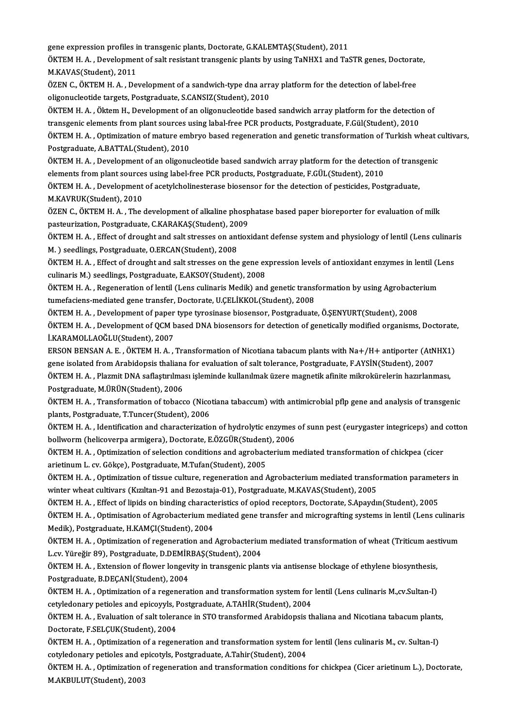gene expression profiles in transgenic plants, Doctorate, G.KALEMTAŞ(Student), 2011<br>ÖKTEM H. A., Dovelopment of selt negistent transsenis plants by using ToNHY1 and To

gene expression profiles in transgenic plants, Doctorate, G.KALEMTAŞ(Student), 2011<br>ÖKTEM H. A. , Development of salt resistant transgenic plants by using TaNHX1 and TaSTR genes, Doctorate,<br>M.KAVAS(Student), 2011 gene expression profiles i<br>ÖKTEM H. A. , Developmer<br>M.KAVAS(Student), 2011<br>ÖZEN G. ÖVTEM H. A. - De ÖKTEM H. A. , Development of salt resistant transgenic plants by using TaNHX1 and TaSTR genes, Doctorat<br>M.KAVAS(Student), 2011<br>ÖZEN C., ÖKTEM H. A. , Development of a sandwich-type dna array platform for the detection of l

M.KAVAS(Student), 2011<br>ÖZEN C., ÖKTEM H. A. , Development of a sandwich-type dna array platform for the detection of label-free<br>oligonucleotide targets, Postgraduate, S.CANSIZ(Student), 2010 ÖZEN C., ÖKTEM H. A. , Development of a sandwich-type dna array platform for the detection of label-free<br>oligonucleotide targets, Postgraduate, S.CANSIZ(Student), 2010<br>ÖKTEM H. A. , Öktem H., Development of an oligonucleot

oligonucleotide targets, Postgraduate, S.CANSIZ(Student), 2010<br>ÖKTEM H. A. , Öktem H., Development of an oligonucleotide based sandwich array platform for the detection<br>transgenic elements from plant sources using labal-fr ÖKTEM H. A. , Öktem H., Development of an oligonucleotide based sandwich array platform for the detection of<br>transgenic elements from plant sources using labal-free PCR products, Postgraduate, F.Gül(Student), 2010<br>ÖKTEM H. **transgenic elements from plant sources u<br>ÖKTEM H. A. , Optimization of mature emi<br>Postgraduate, A.BATTAL(Student), 2010<br>ÖKTEM H. A., Develenment of an elizeny** ÖKTEM H. A. , Optimization of mature embryo based regeneration and genetic transformation of Turkish wheat c<br>Postgraduate, A.BATTAL(Student), 2010<br>ÖKTEM H. A. , Development of an oligonucleotide based sandwich array platfo

Postgraduate, A.BATTAL(Student), 2010<br>ÖKTEM H. A. , Development of an oligonucleotide based sandwich array platform for the detectio<br>elements from plant sources using label-free PCR products, Postgraduate, F.GÜL(Student), ÖKTEM H. A. , Development of an oligonucleotide based sandwich array platform for the detection of trans<sub>i</sub><br>elements from plant sources using label-free PCR products, Postgraduate, F.GÜL(Student), 2010<br>ÖKTEM H. A. , Develo

elements from plant sources using label-free PCR products, Postgraduate, F.GÜL(Student), 2010<br>ÖKTEM H. A. , Development of acetylcholinesterase biosensor for the detection of pesticides, Postgraduate,<br>M.KAVRUK(Student), 20 ÖKTEM H. A. , Development of acetylcholinesterase biosensor for the detection of pesticides, Postgraduate,<br>M.KAVRUK(Student), 2010<br>ÖZEN C., ÖKTEM H. A. , The development of alkaline phosphatase based paper bioreporter for

M.KAVRUK(Student), 2010<br>ÖZEN C., ÖKTEM H. A. , The development of alkaline phosp<br>pasteurization, Postgraduate, C.KARAKAŞ(Student), 2009<br>ÖKTEM H. A., Effect of dreught and selt stresses en antiev ÖZEN C., ÖKTEM H. A. , The development of alkaline phosphatase based paper bioreporter for evaluation of milk<br>pasteurization, Postgraduate, C.KARAKAŞ(Student), 2009<br>ÖKTEM H. A. , Effect of drought and salt stresses on anti

pasteurization, Postgraduate, C.KARAKAŞ(Student), 200<br>ÖKTEM H. A. , Effect of drought and salt stresses on ant<br>M. ) seedlings, Postgraduate, O.ERCAN(Student), 2008<br>ÖKTEM H. A. , Effect of drought and salt stresses on the ÖKTEM H. A. , Effect of drought and salt stresses on antioxidant defense system and physiology of lentil (Lens culinar<br>M. ) seedlings, Postgraduate, O.ERCAN(Student), 2008<br>ÖKTEM H. A. , Effect of drought and salt stresses

M. ) seedlings, Postgraduate, O.ERCAN(Student), 2008<br>ÖKTEM H. A. , Effect of drought and salt stresses on the gene expression levels of antioxidant enzymes in lentil (Lens<br>culinaris M.) seedlings, Postgraduate, E.AKSOY(Stu ÖKTEM H. A. , Effect of drought and salt stresses on the gene expression levels of antioxidant enzymes in lentil (L<br>culinaris M.) seedlings, Postgraduate, E.AKSOY(Student), 2008<br>ÖKTEM H. A. , Regeneration of lentil (Lens c

culinaris M.) seedlings, Postgraduate, E.AKSOY(Student), 2008<br>ÖKTEM H. A. , Regeneration of lentil (Lens culinaris Medik) and genetic transf<br>tumefaciens-mediated gene transfer, Doctorate, U.ÇELİKKOL(Student), 2008<br>ÖKTEM H. ÖKTEM H. A. , Regeneration of lentil (Lens culinaris Medik) and genetic transformation by using Agrobacte<br>tumefaciens-mediated gene transfer, Doctorate, U.ÇELİKKOL(Student), 2008<br>ÖKTEM H. A. , Development of paper type tyr

tumefaciens-mediated gene transfer, Doctorate, U.ÇELİKKOL(Student), 2008<br>ÖKTEM H. A. , Development of paper type tyrosinase biosensor, Postgraduate, Ö.ŞENYURT(Student), 2008<br>ÖKTEM H. A. , Development of QCM based DNA biose ÖKTEM H. A. , Development of paper type tyrosinase biosensor, Postgraduate, Ö.ŞENYURT(Student), 2008<br>ÖKTEM H. A. , Development of QCM based DNA biosensors for detection of genetically modified organisms<br>İ.KARAMOLLAOĞLU(Stu ÖKTEM H. A. , Development of QCM based DNA biosensors for detection of genetically modified organisms, Doctorate<br>İ.KARAMOLLAOĞLU(Student), 2007<br>ERSON BENSAN A. E. , ÖKTEM H. A. , Transformation of Nicotiana tabacum plants

İ.KARAMOLLAOĞLU(Student), 2007<br>ERSON BENSAN A. E. , ÖKTEM H. A. , Transformation of Nicotiana tabacum plants with Na+/H+ antiporter (AtN<br>gene isolated from Arabidopsis thaliana for evaluation of salt tolerance, Postgradua ERSON BENSAN A. E. , ÖKTEM H. A. , Transformation of Nicotiana tabacum plants with Na+/H+ antiporter (AtNHX1<br>gene isolated from Arabidopsis thaliana for evaluation of salt tolerance, Postgraduate, F.AYSİN(Student), 2007<br>ÖK

gene isolated from Arabidopsis thaliana for evaluation of salt tolerance, Postgraduate, F.AYSİN(Student), 2007<br>ÖKTEM H. A. , Plazmit DNA saflaştırılması işleminde kullanılmak üzere magnetik afinite mikrokürelerin hazırlanm ÖKTEM H. A. , Plazmit DNA saflaştırılması işleminde kullanılmak üzere magnetik afinite mikrokürelerin hazırlanması,<br>Postgraduate, M.ÜRÜN(Student), 2006<br>ÖKTEM H. A. , Transformation of tobacco (Nicotiana tabaccum) with anti

Postgraduate, M.ÜRÜN(Student), 2006<br>ÖKTEM H. A. , Transformation of tobacco (Nico<br>plants, Postgraduate, T.Tuncer(Student), 2006<br>ÖKTEM H. A. , Identification and characterizatio ÖKTEM H. A. , Transformation of tobacco (Nicotiana tabaccum) with antimicrobial pflp gene and analysis of transgenic<br>plants, Postgraduate, T.Tuncer(Student), 2006<br>ÖKTEM H. A. , Identification and characterization of hydrol

plants, Postgraduate, T.Tuncer(Student), 2006<br>ÖKTEM H. A. , Identification and characterization of hydrolytic enzymes<br>bollworm (helicoverpa armigera), Doctorate, E.ÖZGÜR(Student), 2006<br>ÖKTEM H. A., Optimiration of selectio ÖKTEM H. A. , Identification and characterization of hydrolytic enzymes of sunn pest (eurygaster integriceps) and<br>bollworm (helicoverpa armigera), Doctorate, E.ÖZGÜR(Student), 2006<br>ÖKTEM H. A. , Optimization of selection c

bollworm (helicoverpa armigera), Doctorate, E.ÖZGÜR(Student), 2006<br>ÖKTEM H. A. , Optimization of selection conditions and agrobacterium mediated transformation of chickpea (cicer<br>arietinum L. cv. Gökçe), Postgraduate, M.Tu ÖKTEM H. A. , Optimization of selection conditions and agrobacterium mediated transformation of chickpea (cicer<br>arietinum L. cv. Gökçe), Postgraduate, M.Tufan(Student), 2005<br>ÖKTEM H. A. , Optimization of tissue culture, re

arietinum L. cv. Gökçe), Postgraduate, M.Tufan(Student), 2005<br>ÖKTEM H. A. , Optimization of tissue culture, regeneration and Agrobacterium mediated transfo<br>winter wheat cultivars (Kızıltan-91 and Bezostaja-01), Postgraduat ÖKTEM H. A. , Optimization of tissue culture, regeneration and Agrobacterium mediated transformation paramete<br>winter wheat cultivars (Kızıltan-91 and Bezostaja-01), Postgraduate, M.KAVAS(Student), 2005<br>ÖKTEM H. A. , Effect

winter wheat cultivars (Kızıltan-91 and Bezostaja-01), Postgraduate, M.KAVAS(Student), 2005<br>ÖKTEM H. A. , Effect of lipids on binding characteristics of opiod receptors, Doctorate, S.Apaydın(Student), 2005<br>ÖKTEM H. A. , Op ÖKTEM H. A. , Effect of lipids on binding characte<br>ÖKTEM H. A. , Optimisation of Agrobacterium me<br>Medik), Postgraduate, H.KAMÇI(Student), 2004<br>ÖKTEM H. A. Optimization of regeneration and ÖKTEM H. A. , Optimisation of Agrobacterium mediated gene transfer and micrografting systems in lentil (Lens culinaris<br>Medik), Postgraduate, H.KAMÇI(Student), 2004<br>ÖKTEM H. A. , Optimization of regeneration and Agrobacteri

Medik), Postgraduate, H.KAMÇI(Student), 2004<br>ÖKTEM H. A. , Optimization of regeneration and Agrobacterium mediated transformation of wheat (Triticum aestivum<br>L.cv. Yüreğir 89), Postgraduate, D.DEMİRBAŞ(Student), 2004 ÖKTEM H. A. , Optimization of regeneration and Agrobacterium mediated transformation of wheat (Triticum aes<br>L.cv. Yüreğir 89), Postgraduate, D.DEMİRBAŞ(Student), 2004<br>ÖKTEM H. A. , Extension of flower longevity in transgen

L.cv. Yüreğir 89), Postgraduate, D.DEMİR<br>ÖKTEM H. A. , Extension of flower longev<br>Postgraduate, B.DEÇANİ(Student), 2004<br>ÖKTEM H. A. , Ontimization of a regenerat ÖKTEM H. A. , Extension of flower longevity in transgenic plants via antisense blockage of ethylene biosynthesis,<br>Postgraduate, B.DEÇANİ(Student), 2004<br>ÖKTEM H. A. , Optimization of a regeneration and transformation system

Postgraduate, B.DEÇANİ(Student), 2004<br>ÖKTEM H. A. , Optimization of a regeneration and transformation system for<br>cetyledonary petioles and epicoyyls, Postgraduate, A.TAHİR(Student), 2004<br>ÖKTEM H. A., Evelyation of selt tel ÖKTEM H. A. , Optimization of a regeneration and transformation system for lentil (Lens culinaris M.,cv.Sultan-I)<br>cetyledonary petioles and epicoyyls, Postgraduate, A.TAHİR(Student), 2004<br>ÖKTEM H. A. , Evaluation of salt t

cetyledonary petioles and epicoyyls, F.<br>ÖKTEM H. A. , Evaluation of salt tolera<br>Doctorate, F.SELÇUK(Student), 2004<br>ÖVTEM H. A. , Optimiration of a regan ÖKTEM H. A. , Evaluation of salt tolerance in STO transformed Arabidopsis thaliana and Nicotiana tabacum plants<br>Doctorate, F.SELÇUK(Student), 2004<br>ÖKTEM H. A. , Optimization of a regeneration and transformation system for

Doctorate, F.SELÇUK(Student), 2004<br>ÖKTEM H. A. , Optimization of a regeneration and transformation system fo<br>cotyledonary petioles and epicotyls, Postgraduate, A.Tahir(Student), 2004<br>ÖKTEM H. A. , Optimization of regenerat ÖKTEM H. A. , Optimization of a regeneration and transformation system for lentil (lens culinaris M., cv. Sultan-I)<br>cotyledonary petioles and epicotyls, Postgraduate, A.Tahir(Student), 2004<br>ÖKTEM H. A. , Optimization of re

cotyledonary petioles and epicotyls, Postgraduate, A.Tahir(Student), 2004<br>ÖKTEM H. A. , Optimization of regeneration and transformation conditions for chickpea (Cicer arietinum L.), Doctorate,<br>M.AKBULUT(Student), 2003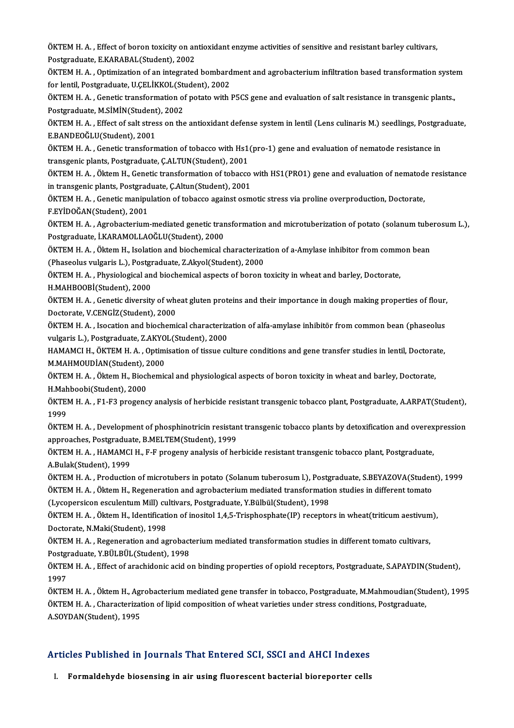ÖKTEM H. A. , Effect of boron toxicity on antioxidant enzyme activities of sensitive and resistant barley cultivars,<br>Restanduate E KARARAL (Student), 2002 ÖKTEM H. A. , Effect of boron toxicity on an<br>Postgraduate, E.KARABAL(Student), 2002<br>ÖKTEM H. A. , Optimiration of an integrated ÖKTEM H. A. , Effect of boron toxicity on antioxidant enzyme activities of sensitive and resistant barley cultivars,<br>Postgraduate, E.KARABAL(Student), 2002<br>ÖKTEM H. A. , Optimization of an integrated bombardment and agroba

Fostgraduate, E.KARABAL(Student), 2002<br>ÖKTEM H. A. , Optimization of an integrated bombard<br>for lentil, Postgraduate, U.ÇELİKKOL(Student), 2002<br>ÖKTEM H. A. , Constis transformation of natate with l ÖKTEM H. A. , Optimization of an integrated bombardment and agrobacterium infiltration based transformation system<br>for lentil, Postgraduate, U.ÇELİKKOL(Student), 2002<br>ÖKTEM H. A. , Genetic transformation of potato with P5C

for lentil, Postgraduate, U.ÇELİKKOL(Student)<br>ÖKTEM H. A. , Genetic transformation of<br>Postgraduate, M.SİMİN(Student), 2002<br>ÖKTEM H. A. , Effect of selt stress on the ÖKTEM H. A. , Genetic transformation of potato with P5CS gene and evaluation of salt resistance in transgenic plants.,<br>Postgraduate, M.SİMİN(Student), 2002<br>ÖKTEM H. A. , Effect of salt stress on the antioxidant defense sys

Postgraduate, M.SİMİN(Student<br>ÖKTEM H. A. , Effect of salt stres<br>E.BANDEOĞLU(Student), 2001<br>ÖVTEM H. A. , Constis transform ÖKTEM H. A. , Effect of salt stress on the antioxidant defense system in lentil (Lens culinaris M.) seedlings, Postgra<br>E.BANDEOĞLU(Student), 2001<br>ÖKTEM H. A. , Genetic transformation of tobacco with Hs1(pro-1) gene and eva

E.BANDEOĞLU(Student), 2001<br>ÖKTEM H. A. , Genetic transformation of tobacco with Hs1<br>transgenic plants, Postgraduate, Ç.ALTUN(Student), 2001<br>ÖKTEM H. A., Öltem H. Cenetis transformation of tebbasse ÖKTEM H. A. , Genetic transformation of tobacco with Hs1(pro-1) gene and evaluation of nematode resistance in<br>transgenic plants, Postgraduate, Ç.ALTUN(Student), 2001<br>ÖKTEM H. A. , Öktem H., Genetic transformation of tobacc

transgenic plants, Postgraduate, Ç.ALTUN(Student), 2001<br>ÖKTEM H. A. , Öktem H., Genetic transformation of tobacco with HS1(PRO1) gene and evaluation of nematode resistance<br>in transgenic plants, Postgraduate, C.Altun(Studen

ÖKTEM H.A., Genetic manipulation of tobacco against osmotic stress via proline overproduction, Doctorate, F.EYİDOĞAN(Student),2001 ÖKTEM H. A. , Genetic manipulation of tobacco against osmotic stress via proline overproduction, Doctorate,<br>F.EYİDOĞAN(Student), 2001<br>ÖKTEM H. A. , Agrobacterium-mediated genetic transformation and microtuberization of pot

F.EYİDOĞAN(Student), 2001<br>ÖKTEM H. A. , Agrobacterium-mediated genetic tran<br>Postgraduate, İ.KARAMOLLAOĞLU(Student), 2000<br>ÖKTEM H. A., Öltem H. Jeslatian and bişebemisel s ÖKTEM H. A. , Agrobacterium-mediated genetic transformation and microtuberization of potato (solanum tube<br>Postgraduate, İ.KARAMOLLAOĞLU(Student), 2000<br>ÖKTEM H. A. , Öktem H., Isolation and biochemical characterization of a

Postgraduate, İ.KARAMOLLAOĞLU(Student), 2000<br>ÖKTEM H. A. , Öktem H., Isolation and biochemical characteriza<br>(Phaseolus vulgaris L.), Postgraduate, Z.Akyol(Student), 2000<br>ÖKTEM H. A., Physiologisel and biochemisel senesta o ÖKTEM H. A. , Öktem H., Isolation and biochemical characterization of a-Amylase inhibitor from comm<br>(Phaseolus vulgaris L.), Postgraduate, Z.Akyol(Student), 2000<br>ÖKTEM H. A. , Physiological and biochemical aspects of boron

(Phaseolus vulgaris L.), Postgraduate, Z.Akyol(Student), 2000<br>ÖKTEM H. A. , Physiological and biochemical aspects of boron toxicity in wheat and barley, Doctorate,<br>H.MAHBOOBİ(Student), 2000

ÖKTEM H. A. , Physiological and biochemical aspects of boron toxicity in wheat and barley, Doctorate,<br>H.MAHBOOBİ(Student), 2000<br>ÖKTEM H. A. , Genetic diversity of wheat gluten proteins and their importance in dough making H.MAHBOOBİ(Student), 2000<br>ÖKTEM H. A. , Genetic diversity of who<br>Doctorate, V.CENGİZ(Student), 2000<br>ÖKTEM H. A. , Isosation and bioshomi ÖKTEM H. A. , Genetic diversity of wheat gluten proteins and their importance in dough making properties of flour,<br>Doctorate, V.CENGİZ(Student), 2000<br>ÖKTEM H. A. , Isocation and biochemical characterization of alfa-amylase

Doctorate, V.CENGİZ(Student), 2000<br>ÖKTEM H. A. , Isocation and biochemical characteriz:<br>vulgaris L.), Postgraduate, Z.AKYOL(Student), 2000<br>HAMAMCLH, ÖKTEM H. A., Optimisation of tissue su ÖKTEM H. A. , Isocation and biochemical characterization of alfa-amylase inhibitör from common bean (phaseolus<br>vulgaris L.), Postgraduate, Z.AKYOL(Student), 2000<br>HAMAMCI H., ÖKTEM H. A. , Optimisation of tissue culture con

vulgaris L.), Postgraduate, Z.AKYOL(Student), 2000<br>HAMAMCI H., ÖKTEM H. A. , Optimisation of tissue culture conditions and gene transfer studies in lentil, Doctora<br>M.MAHMOUDİAN(Student), 2000<br>ÖKTEM H. A. , Öktem H., Bioche M MAHMOUDIAN(Student), 2000

HAMAMCI H., ÖKTEM H. A. , Optimisation of tissue culture conditions and gene transfer studies in lentil, Doctorate,<br>M.MAHMOUDİAN(Student), 2000<br>ÖKTEM H. A. , Öktem H., Biochemical and physiological aspects of boron toxicit ÖKTEM H. A. , Öktem H., Biochemical and physiological aspects of boron toxicity in wheat and barley, Doctorate,<br>H.Mahboobi(Student), 2000<br>ÖKTEM H. A. , F1-F3 progency analysis of herbicide resistant transgenic tobacco plan

H.Mah<br>ÖKTEI<br>1999<br>ÖVTEI ÖKTEM H. A. , F1-F3 progency analysis of herbicide resistant transgenic tobacco plant, Postgraduate, A.ARPAT(Student),<br>1999<br>ÖKTEM H. A. , Development of phosphinotricin resistant transgenic tobacco plants by detoxification

1999<br>ÖKTEM H. A. , Development of phosphinotricin resistan<br>approaches, Postgraduate, B.MELTEM(Student), 1999<br>ÖKTEM H. A. , HAMAMCLH, E. E progeny apelysis of he ÖKTEM H. A. , Development of phosphinotricin resistant transgenic tobacco plants by detoxification and overex<br>approaches, Postgraduate, B.MELTEM(Student), 1999<br>ÖKTEM H. A. , HAMAMCI H., F-F progeny analysis of herbicide re

approaches, Postgraduate, B.MELTEM(Student), 1999<br>ÖKTEM H. A. , HAMAMCI H., F-F progeny analysis of herbicide resistant transgenic tobacco plant, Postgraduate,<br>A.Bulak(Student), 1999 ÖKTEM H. A. , HAMAMCI H., F-F progeny analysis of herbicide resistant transgenic tobacco plant, Postgraduate,<br>A.Bulak(Student), 1999<br>ÖKTEM H. A. , Production of microtubers in potato (Solanum tuberosum l.), Postgraduate, S

A.Bulak(Student), 1999<br>ÖKTEM H. A. , Production of microtubers in potato (Solanum tuberosum l.), Postgraduate, S.BEYAZOVA(Studen<br>ÖKTEM H. A. , Öktem H., Regeneration and agrobacterium mediated transformation studies in dif ÖKTEM H. A. , Production of microtubers in potato (Solanum tuberosum l.), Postg<br>ÖKTEM H. A. , Öktem H., Regeneration and agrobacterium mediated transformatio<br>(Lycopersicon esculentum Mill) cultivars, Postgraduate, Y.Bülbül ÖKTEM H. A. , Öktem H., Regeneration and agrobacterium mediated transformation studies in different tomato<br>(Lycopersicon esculentum Mill) cultivars, Postgraduate, Y.Bülbül(Student), 1998<br>ÖKTEM H. A. , Öktem H., Identificat

(Lycopersicon esculentum Mill) cu<br>ÖKTEM H. A. , Öktem H., Identificati<br>Doctorate, N.Maki(Student), 1998<br>ÖKTEM H. A. - Begeneration and 20 ÖKTEM H. A. , Öktem H., Identification of inositol 1,4,5-Trisphosphate(IP) receptors in wheat(triticum aestivum<br>Doctorate, N.Maki(Student), 1998<br>ÖKTEM H. A. , Regeneration and agrobacterium mediated transformation studies

Doctorate, N.Maki(Student), 1998<br>ÖKTEM H. A. , Regeneration and agrobacterium mediated transformation studies in different tomato cultivars,<br>Postgraduate, Y.BÜLBÜL(Student), 1998 ÖKTEM H. A. , Regeneration and agrobacterium mediated transformation studies in different tomato cultivars,<br>Postgraduate, Y.BÜLBÜL(Student), 1998<br>ÖKTEM H. A. , Effect of arachidonic acid on binding properties of opiold rec

Post<mark>gi</mark><br>ÖKTEI<br>1997 ÖKTEM H. A. , Effect of arachidonic acid on binding properties of opiold receptors, Postgraduate, S.APAYDIN(Student),<br>1997<br>ÖKTEM H. A. , Öktem H., Agrobacterium mediated gene transfer in tobacco, Postgraduate, M.Mahmoudian

1997<br>ÖKTEM H. A. , Öktem H., Agrobacterium mediated gene transfer in tobacco, Postgraduate, M.Mahmoudian(Student), 1995<br>ÖKTEM H. A. , Characterization of lipid composition of wheat varieties under stress conditions. Postgr A.SOYDAN(Student),1995

#### Articles Published in Journals That Entered SCI, SSCI and AHCI Indexes

I. Formaldehyde biosensing in air using fluorescent bacterial bioreporter cells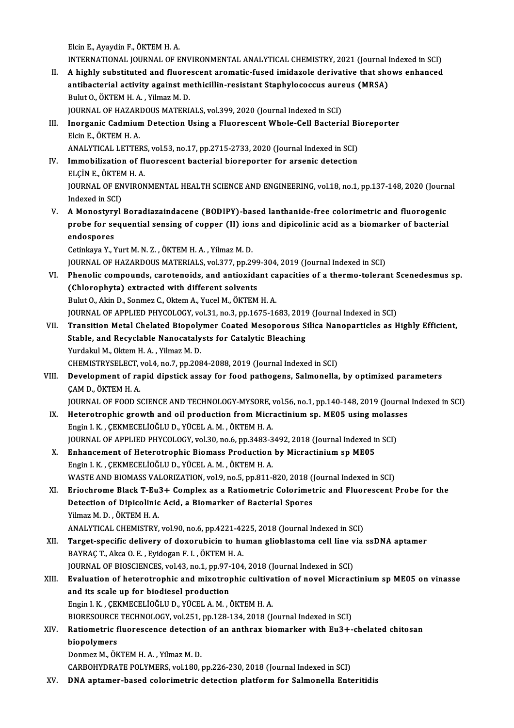ElcinE.,AyaydinF.,ÖKTEMH.A.

Elcin E., Ayaydin F., ÖKTEM H. A.<br>INTERNATIONAL JOURNAL OF ENVIRONMENTAL ANALYTICAL CHEMISTRY, 2021 (Journal Indexed in SCI)<br>A highly substituted and fluenessent anomatis fused imiderals denivative that shaws enhanced

Elcin E., Ayaydin F., ÖKTEM H. A.<br>INTERNATIONAL JOURNAL OF ENVIRONMENTAL ANALYTICAL CHEMISTRY, 2021 (Journal Indexed in SCI)<br>II. A highly substituted and fluorescent aromatic-fused imidazole derivative that shows enhanced<br> INTERNATIONAL JOURNAL OF ENVIRONMENTAL ANALYTICAL CHEMISTRY, 2021 (Journal I<br>A highly substituted and fluorescent aromatic-fused imidazole derivative that sho<br>antibacterial activity against methicillin-resistant Staphyloco A highly substituted and fluore<br>antibacterial activity against me<br>Bulut O., ÖKTEM H. A. , Yilmaz M. D.<br>JOUPMAL OE HAZAPDOUS MATERL antibacterial activity against methicillin-resistant Staphylococcus aure<br>Bulut O., ÖKTEM H. A. , Yilmaz M. D.<br>JOURNAL OF HAZARDOUS MATERIALS, vol.399, 2020 (Journal Indexed in SCI)<br>Inorganic Cadmium Detection Using a Eluer Bulut O., ÖKTEM H. A. , Yilmaz M. D.<br>JOURNAL OF HAZARDOUS MATERIALS, vol.399, 2020 (Journal Indexed in SCI)<br>III. Inorganic Cadmium Detection Using a Fluorescent Whole-Cell Bacterial Bioreporter<br>Flein E. ÖKTEM H. A

## **JOURNAL OF HAZAR<br>Inorganic Cadmiun<br>Elcin E., ÖKTEM H. A.**<br>ANAI VTICAL I ETTER Inorganic Cadmium Detection Using a Fluorescent Whole-Cell Bacterial Bi<br>Elcin E., ÖKTEM H. A.<br>ANALYTICAL LETTERS, vol.53, no.17, pp.2715-2733, 2020 (Journal Indexed in SCI)<br>Immebilization of fluorescent bacterial biorenert

## Elcin E., ÖKTEM H. A.<br>ANALYTICAL LETTERS, vol.53, no.17, pp.2715-2733, 2020 (Journal Indexed in SCI)<br>IV. Immobilization of fluorescent bacterial bioreporter for arsenic detection<br>ELCIN E. ÖVTEM H. A ANALYTICAL LETTERS<br>Immobilization of fl<br>ELÇİN E., ÖKTEM H. A.<br>IQUPNAL OE ENVIPON IV. Immobilization of fluorescent bacterial bioreporter for arsenic detection<br>ELÇİN E., ÖKTEM H. A.<br>JOURNAL OF ENVIRONMENTAL HEALTH SCIENCE AND ENGINEERING, vol.18, no.1, pp.137-148, 2020 (Journal<br>Indexed in SCI) ELÇİN E, ÖKTEM H.A. JOURNAL OF ENVIRONMENTAL HEALTH SCIENCE AND ENGINEERING, vol.18, no.1, pp.137-148, 2020 (Journ<br>Indexed in SCI)<br>V. A Monostyryl Boradiazaindacene (BODIPY)-based lanthanide-free colorimetric and fluorogenic<br>nrobe for sequent

Indexed in SCI)<br>A Monostyryl Boradiazaindacene (BODIPY)-based lanthanide-free colorimetric and fluorogenic<br>probe for sequential sensing of copper (II) ions and dipicolinic acid as a biomarker of bacterial<br>andeenense A Monostyry<br>probe for se<br>endospores<br>Cetinkava V N probe for sequential sensing of copper (II) ions and dipicolinic acid as a biomarker of bacterial<br>endospores<br>Cetinkaya Y., Yurt M. N. Z., ÖKTEM H. A., Yilmaz M. D.

JOURNALOFHAZARDOUSMATERIALS,vol.377,pp.299-304,2019 (Journal Indexed inSCI) Cetinkaya Y., Yurt M. N. Z. , ÖKTEM H. A. , Yilmaz M. D.<br>JOURNAL OF HAZARDOUS MATERIALS, vol.377, pp.299-304, 2019 (Journal Indexed in SCI)<br>VI. Phenolic compounds, carotenoids, and antioxidant capacities of a thermo-tolera

- (OURNAL OF HAZARDOUS MATERIALS, vol.377, pp.299<br>Phenolic compounds, carotenoids, and antioxida<br>(Chlorophyta) extracted with different solvents<br>Pulut Q. Akin D. Sonmer G. Oktom A. Vusel M. ÖKTEM Phenolic compounds, carotenoids, and antioxidant ca<br>(Chlorophyta) extracted with different solvents<br>Bulut O., Akin D., Sonmez C., Oktem A., Yucel M., ÖKTEM H. A.<br>JOUPNAL OF APPLIED PHYCOLOCY, vel 31, no 3, nn 1675-16 (Chlorophyta) extracted with different solvents<br>Bulut O., Akin D., Sonmez C., Oktem A., Yucel M., ÖKTEM H. A.<br>JOURNAL OF APPLIED PHYCOLOGY, vol.31, no.3, pp.1675-1683, 2019 (Journal Indexed in SCI) Bulut O., Akin D., Sonmez C., Oktem A., Yucel M., ÖKTEM H. A.<br>JOURNAL OF APPLIED PHYCOLOGY, vol.31, no.3, pp.1675-1683, 2019 (Journal Indexed in SCI)<br>VII. Transition Metal Chelated Biopolymer Coated Mesoporous Silica N
- JOURNAL OF APPLIED PHYCOLOGY, vol.31, no.3, pp.1675-1683, 2019<br>Transition Metal Chelated Biopolymer Coated Mesoporous S<br>Stable, and Recyclable Nanocatalysts for Catalytic Bleaching<br>Yurdalul M. Oktom H. A., Vilmaz M. D. Transition Metal Chelated Biopoly<br>Stable, and Recyclable Nanocataly<br>Yurdakul M., Oktem H. A. , Yilmaz M. D.<br>CHEMISTRYSELECT VOLA DO 7 nn 209 Stable, and Recyclable Nanocatalysts for Catalytic Bleaching<br>Yurdakul M., Oktem H. A., Yilmaz M. D.<br>CHEMISTRYSELECT, vol.4, no.7, pp.2084-2088, 2019 (Journal Indexed in SCI) Yurdakul M., Oktem H. A. , Yilmaz M. D.<br>CHEMISTRYSELECT, vol.4, no.7, pp.2084-2088, 2019 (Journal Indexed in SCI)<br>VIII. Development of rapid dipstick assay for food pathogens, Salmonella, by optimized parameters<br>CAM D. ÖKT
- CHEMISTRYSELECT,<br>Development of ra<br>ÇAM D., ÖKTEM H. A.<br>JOUPMAL OF FOOD S Development of rapid dipstick assay for food pathogens, Salmonella, by optimized parameters<br>ÇAM D., ÖKTEM H. A.<br>JOURNAL OF FOOD SCIENCE AND TECHNOLOGY-MYSORE, vol.56, no.1, pp.140-148, 2019 (Journal Indexed in SCI)<br>Heterot

- CAM D., ÖKTEM H. A.<br>JOURNAL OF FOOD SCIENCE AND TECHNOLOGY-MYSORE, vol.56, no.1, pp.140-148, 2019 (Journal<br>IX. Heterotrophic growth and oil production from Micractinium sp. ME05 using molasses JOURNAL OF FOOD SCIENCE AND TECHNOLOGY-MYSORE,<br>Heterotrophic growth and oil production from Micra<br>Engin I. K. , ÇEKMECELİOĞLU D., YÜCEL A. M. , ÖKTEM H. A.<br>JOUPNAL OF APPLIED PUYCOLOGY vol 30, no 6, nn 3483-3 Heterotrophic growth and oil production from Micractinium sp. ME05 using molass<br>Engin I. K., ÇEKMECELİOĞLU D., YÜCEL A. M., ÖKTEM H. A.<br>JOURNAL OF APPLIED PHYCOLOGY, vol.30, no.6, pp.3483-3492, 2018 (Journal Indexed in SCI Engin I. K., ÇEKMECELİOĞLU D., YÜCEL A. M., ÖKTEM H. A.<br>JOURNAL OF APPLIED PHYCOLOGY, vol.30, no.6, pp.3483-3492, 2018 (Journal Indexed in<br>X. Enhancement of Heterotrophic Biomass Production by Micractinium sp ME05<br>Engin I.
- JOURNAL OF APPLIED PHYCOLOGY, vol.30, no.6, pp.3483-3<br>Enhancement of Heterotrophic Biomass Production<br>Engin I. K. , ÇEKMECELİOĞLU D., YÜCEL A. M. , ÖKTEM H. A.<br>WASTE AND PIOMASS VALOPIZATION .vol.9, no.5, np.811.1 Enhancement of Heterotrophic Biomass Production by Micractinium sp ME05<br>Engin I. K., ÇEKMECELİOĞLU D., YÜCEL A. M., ÖKTEM H. A.<br>WASTE AND BIOMASS VALORIZATION, vol.9, no.5, pp.811-820, 2018 (Journal Indexed in SCI)<br>Erioshn Engin I. K., ÇEKMECELİOĞLU D., YÜCEL A. M., ÖKTEM H. A.<br>WASTE AND BIOMASS VALORIZATION, vol.9, no.5, pp.811-820, 2018 (Journal Indexed in SCI)<br>XI. Eriochrome Black T-Eu3+ Complex as a Ratiometric Colorimetric and Fluoresce
- WASTE AND BIOMASS VALORIZATION, vol.9, no.5, pp.811-820, 2018 (<br>Eriochrome Black T-Eu3+ Complex as a Ratiometric Colorimet<br>Detection of Dipicolinic Acid, a Biomarker of Bacterial Spores<br>Vilmaz M. D., ÖVTEM H.A **Eriochrome Black T-Eu:<br>Detection of Dipicolinic<br>Yilmaz M. D. , ÖKTEM H. A.<br>ANALYTICAL CHEMISTRY** Detection of Dipicolinic Acid, a Biomarker of Bacterial Spores<br>2011 - Yilmaz M. D. , ÖKTEM H. A.<br>ANALYTICAL CHEMISTRY, vol.90, no.6, pp.4221-4225, 2018 (Journal Indexed in SCI)

- XII. Target-specific delivery of doxorubicin to human glioblastoma cell line via ssDNA aptamer BAYRAÇ T., Akca O. E., Eyidogan F. I., ÖKTEM H. A. Target-specific delivery of doxorubicin to human glioblastoma cell line v<br>BAYRAÇ T., Akca O. E. , Eyidogan F. I. , ÖKTEM H. A.<br>JOURNAL OF BIOSCIENCES, vol.43, no.1, pp.97-104, 2018 (Journal Indexed in SCI)<br>Evaluation of be BAYRAÇ T., Akca O. E. , Eyidogan F. I. , ÖKTEM H. A.<br>JOURNAL OF BIOSCIENCES, vol.43, no.1, pp.97-104, 2018 (Journal Indexed in SCI)<br>XIII. Evaluation of heterotrophic and mixotrophic cultivation of novel Micractinium sp
- JOURNAL OF BIOSCIENCES, vol.43, no.1, pp.97-<br>Evaluation of heterotrophic and mixotrop<br>and its scale up for biodiesel production<br>Engin LK, CEKMECELIOČLUD, VÜCELA M. 6 Evaluation of heterotrophic and mixotrophic cultiva<br>and its scale up for biodiesel production<br>Engin I. K. , ÇEKMECELİOĞLU D., YÜCEL A. M. , ÖKTEM H. A.<br>PIOPESQURCE TECUNOLOCY vol 251, pp.129,124,2019 (L and its scale up for biodiesel production<br>Engin I. K. , ÇEKMECELİOĞLU D., YÜCEL A. M. , ÖKTEM H. A.<br>BIORESOURCE TECHNOLOGY, vol.251, pp.128-134, 2018 (Journal Indexed in SCI)<br>Patiometris fluoressense detestion of an anthre Engin I. K. , ÇEKMECELİOĞLU D., YÜCEL A. M. , ÖKTEM H. A.<br>BIORESOURCE TECHNOLOGY, vol.251, pp.128-134, 2018 (Journal Indexed in SCI)<br>XIV. Ratiometric fluorescence detection of an anthrax biomarker with Eu3+-chelated ch

## **BIORESOURCE<br>Ratiometric f<br>biopolymers**<br>Donmer M. Ök Ratiometric fluorescence detection<br>biopolymers<br>Donmez M., ÖKTEM H. A. , Yilmaz M. D.<br>CARROUVDRATE ROLYMERS .vol.190 . biopolymers<br>Donmez M., ÖKTEM H. A. , Yilmaz M. D.<br>CARBOHYDRATE POLYMERS, vol.180, pp.226-230, 2018 (Journal Indexed in SCI)

XV. DNA aptamer-based colorimetric detection platform for Salmonella Enteritidis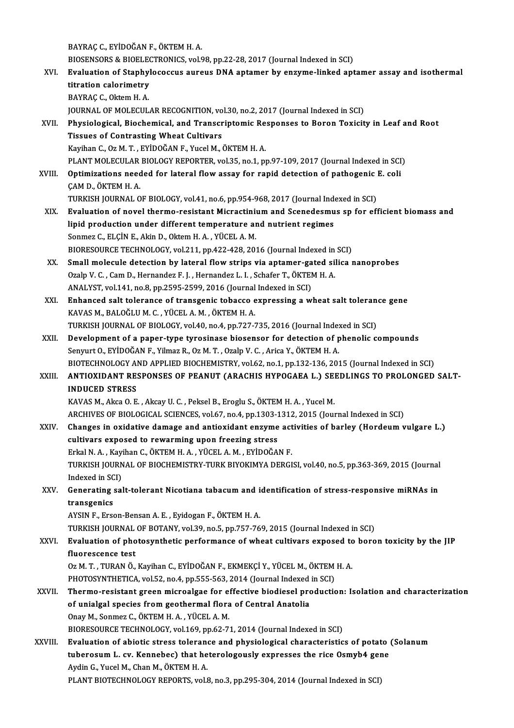BAYRAÇC.,EYİDOĞANF.,ÖKTEMH.A. BAYRAÇ C., EYİDOĞAN F., ÖKTEM H. A.<br>BIOSENSORS & BIOELECTRONICS, vol.98, pp.22-28, 2017 (Journal Indexed in SCI)<br>Evaluation of Stanbylogogeus aunque DNA antamar by anguma linkad ant XVI. Evaluation of Staphylococcus aureus DNA aptamer by enzyme-linked aptamer assay and isothermal **BIOSENSORS & BIOELECT**<br>**Evaluation of Staphyl<br>titration calorimetry**<br>PAYPAC C. Oltam H.A. BAYRAÇ C., Oktem H. A. JOURNAL OF MOLECULAR RECOGNITION, vol.30, no.2, 2017 (Journal Indexed in SCI) BAYRAÇ C., Oktem H. A.<br>JOURNAL OF MOLECULAR RECOGNITION, vol.30, no.2, 2017 (Journal Indexed in SCI)<br>XVII. Physiological, Biochemical, and Transcriptomic Responses to Boron Toxicity in Leaf and Root<br>Ticeues of Contrasting JOURNAL OF MOLECULAR RECOGNITION, vo<br>Physiological, Biochemical, and Transcr<br>Tissues of Contrasting Wheat Cultivars<br>Kavibar C. Oz M. T., EVIDOČAN E. Yugel M. ( Physiological, Biochemical, and Transcriptomic Re<br>Tissues of Contrasting Wheat Cultivars<br>Kayihan C., Oz M. T. , EYİDOĞAN F., Yucel M., ÖKTEM H. A.<br>PLANT MOLECULAR RIQLOCY RERORTER, YOL?5, no.1, ni Tissues of Contrasting Wheat Cultivars<br>Kayihan C., Oz M. T. , EYİDOĞAN F., Yucel M., ÖKTEM H. A.<br>PLANT MOLECULAR BIOLOGY REPORTER, vol.35, no.1, pp.97-109, 2017 (Journal Indexed in SCI)<br>Ontimizations nooded for lateral flo Kayihan C., Oz M. T. , EYİDOĞAN F., Yucel M., ÖKTEM H. A.<br>PLANT MOLECULAR BIOLOGY REPORTER, vol.35, no.1, pp.97-109, 2017 (Journal Indexed in SCI<br>XVIII. Optimizations needed for lateral flow assay for rapid detection of pa PLANT MOLECULAR<br>Optimizations need<br>ÇAM D., ÖKTEM H. A.<br>TURKEH JOURNAL O Optimizations needed for lateral flow assay for rapid detection of pathogenic l<br>CAM D., ÖKTEM H. A.<br>TURKISH JOURNAL OF BIOLOGY, vol.41, no.6, pp.954-968, 2017 (Journal Indexed in SCI)<br>Evaluation of noval thermo resistant M CAM D., ÖKTEM H. A.<br>TURKISH JOURNAL OF BIOLOGY, vol.41, no.6, pp.954-968, 2017 (Journal Indexed in SCI)<br>XIX. Evaluation of novel thermo-resistant Micractinium and Scenedesmus sp for efficient biomass and<br>linid producti TURKISH JOURNAL OF BIOLOGY, vol.41, no.6, pp.954-968, 2017 (Journal Index)<br>Evaluation of novel thermo-resistant Micractinium and Scenedesmu<br>lipid production under different temperature and nutrient regimes Evaluation of novel thermo-resistant Micractini<br>lipid production under different temperature are<br>Sonmez C., ELÇİN E., Akin D., Oktem H. A. , YÜCEL A. M.<br>PIOPESQUPCE TECUNOLOCY .val 311. pp.422.428.20: lipid production under different temperature and nutrient regimes<br>Sonmez C., ELÇİN E., Akin D., Oktem H. A. , YÜCEL A. M.<br>BIORESOURCE TECHNOLOGY, vol.211, pp.422-428, 2016 (Journal Indexed in SCI) Sonmez C., ELÇİN E., Akin D., Oktem H. A., YÜCEL A. M.<br>BIORESOURCE TECHNOLOGY, vol.211, pp.422-428, 2016 (Journal Indexed in SCI)<br>XX. Small molecule detection by lateral flow strips via aptamer-gated silica nanoprobes<br>Oral BIORESOURCE TECHNOLOGY, vol.211, pp.422-428, 2016 (Journal Indexed in<br>Small molecule detection by lateral flow strips via aptamer-gated si<br>Ozalp V. C. , Cam D., Hernandez F. J. , Hernandez L. I. , Schafer T., ÖKTEM H. A.<br>A Small molecule detection by lateral flow strips via aptamer-ga<br>Ozalp V. C. , Cam D., Hernandez F. J. , Hernandez L. I. , Schafer T., ÖKTEI<br>ANALYST, vol.141, no.8, pp.2595-2599, 2016 (Journal Indexed in SCI)<br>Enhanged calt t Ozalp V. C. , Cam D., Hernandez F. J. , Hernandez L. I. , Schafer T., ÖKTEM H. A.<br>ANALYST, vol.141, no.8, pp.2595-2599, 2016 (Journal Indexed in SCI)<br>XXI. Enhanced salt tolerance of transgenic tobacco expressing a wheat sa ANALYST, vol.141, no.8, pp.2595-2599, 2016 (Journal Indexed in SCI) Enhanced salt tolerance of transgenic tobacco expressing a wheat salt toleran<br>KAVAS M., BALOĞLU M. C. , YÜCEL A. M. , ÖKTEM H. A.<br>TURKISH JOURNAL OF BIOLOGY, vol.40, no.4, pp.727-735, 2016 (Journal Indexed in SCI)<br>Developm KAVAS M., BALOĞLU M. C. , YÜCEL A. M. , ÖKTEM H. A.<br>TURKISH JOURNAL OF BIOLOGY, vol.40, no.4, pp.727-735, 2016 (Journal Indexed in SCI)<br>XXII. Development of a paper-type tyrosinase biosensor for detection of phenolic compo TURKISH JOURNAL OF BIOLOGY, vol.40, no.4, pp.727-735, 2016 (Journal Index<br>Development of a paper-type tyrosinase biosensor for detection of p<br>Senyurt O., EYİDOĞAN F., Yilmaz R., Oz M. T. , Ozalp V. C. , Arica Y., ÖKTEM H. Bevelopment of a paper-type tyrosinase biosensor for detection of phenolic compounds<br>Senyurt O., EYİDOĞAN F., Yilmaz R., Oz M. T. , Ozalp V. C. , Arica Y., ÖKTEM H. A.<br>BIOTECHNOLOGY AND APPLIED BIOCHEMISTRY, vol.62, no.1, Senyurt O., EYİDOĞAN F., Yilmaz R., Oz M. T. , Ozalp V. C. , Arica Y., ÖKTEM H. A.<br>BIOTECHNOLOGY AND APPLIED BIOCHEMISTRY, vol.62, no.1, pp.132-136, 2015 (Journal Indexed in SCI)<br>XXIII. ANTIOXIDANT RESPONSES OF PEANUT BIOTECHNOLOGY AND APPLIED BIOCHEMISTRY, vol.62, no.1, pp.132-136, 2015 (Journal Indexed in SCI) KAVAS M., Akca O. E., Akcay U. C., Peksel B., Eroglu S., ÖKTEM H. A., Yucel M. ARCHIVES OF BIOLOGICAL SCIENCES, vol.67, no.4, pp.1303-1312, 2015 (Journal Indexed in SCI) XXIV. Changes in oxidative damage and antioxidant enzyme activities of barley (Hordeum vulgare L.) ARCHIVES OF BIOLOGICAL SCIENCES, vol.67, no.4, pp.1303-1<br>Changes in oxidative damage and antioxidant enzyme<br>cultivars exposed to rewarming upon freezing stress<br>Fright A. A. Kaviban G. ÖKTEM H.A. VÜCEL A.M. EVIDOČA Changes in oxidative damage and antioxidant enzyme act<br>cultivars exposed to rewarming upon freezing stress<br>Erkal N.A., Kayihan C., ÖKTEM H.A., YÜCEL A.M., EYİDOĞAN F.<br>TURKISH JOURNAL OF RIOCHEMISTRY TURK RIVOKIMYA DERCI TURKISH JOURNAL OF BIOCHEMISTRY-TURK BIYOKIMYA DERGISI, vol.40, no.5, pp.363-369, 2015 (Journal Indexed in SCI) Erkal N. A., Kayihan C., ÖKTEM H. A., YÜCEL A. M., EYİDOĞAN F. TURKISH JOURNAL OF BIOCHEMISTRY-TURK BIYOKIMYA DERGISI, vol.40, no.5, pp.363-369, 2015 (Journal<br>Indexed in SCI)<br>XXV. Generating salt-tolerant Nicotiana tabacum and identification of stress-responsive miRNAs in<br>transcenies Indexed in SC<br>Generating<br>transgenics<br>AVSIN E. Erse transgenics<br>AYSIN F., Erson-Bensan A. E. , Eyidogan F., ÖKTEM H. A. transgenics<br>AYSIN F., Erson-Bensan A. E. , Eyidogan F., ÖKTEM H. A.<br>TURKISH JOURNAL OF BOTANY, vol.39, no.5, pp.757-769, 2015 (Journal Indexed in SCI)<br>Evaluation of phatasunthatis performance of urbest sultivars expessed t AYSIN F., Erson-Bensan A. E. , Eyidogan F., ÖKTEM H. A.<br>TURKISH JOURNAL OF BOTANY, vol.39, no.5, pp.757-769, 2015 (Journal Indexed in SCI)<br>XXVI. Evaluation of photosynthetic performance of wheat cultivars exposed to boron TURKISH JOURNAL<br>Evaluation of pho<br>fluorescence test<br>Oz M T - TUBAN Ö Evaluation of photosynthetic performance of wheat cultivars exposed to<br>fluorescence test<br>Oz M. T. , TURAN Ö., Kayihan C., EYİDOĞAN F., EKMEKÇİ Y., YÜCEL M., ÖKTEM H. A.<br>PHOTOSYNTHETICA, vel 52, no 4, np 555, 562, 2014 (Jou fluorescence test<br>Oz M. T. , TURAN Ö., Kayihan C., EYİDOĞAN F., EKMEKÇİ Y., YÜCEL M., ÖKTEM H. A. Oz M. T. , TURAN Ö., Kayihan C., EYİDOĞAN F., EKMEKÇİ Y., YÜCEL M., ÖKTEM H. A.<br>PHOTOSYNTHETICA, vol.52, no.4, pp.555-563, 2014 (Journal Indexed in SCI)<br>XXVII. Thermo-resistant green microalgae for effective biodiesel PHOTOSYNTHETICA, vol.52, no.4, pp.555-563, 2014 (Journal Indexed in SCI)<br>Thermo-resistant green microalgae for effective biodiesel production<br>of unialgal species from geothermal flora of Central Anatolia<br>Onay M., Sonmez C. Thermo-resistant green microalgae for exported in the unial species from geothermal floral<br>Onay M., Sonmez C., ÖKTEM H. A. , YÜCEL A. M.<br>PIOPESQUPCE TECUNOLOCY .val 169 nn 62.7. BIORESOURCE TECHNOLOGY, vol.169, pp.62-71, 2014 (Journal Indexed in SCI) Onay M., Sonmez C., ÖKTEM H. A., YÜCEL A. M.<br>BIORESOURCE TECHNOLOGY, vol.169, pp.62-71, 2014 (Journal Indexed in SCI)<br>XXVIII. Evaluation of abiotic stress tolerance and physiological characteristics of potato (Solanum<br>typh BIORESOURCE TECHNOLOGY, vol.169, pp.62-71, 2014 (Journal Indexed in SCI)<br>Evaluation of abiotic stress tolerance and physiological characteristics of potato<br>tuberosum L. cv. Kennebec) that heterologously expresses the rice Evaluation of abiotic stress tolerand<br>tuberosum L. cv. Kennebec) that he<br>Aydin G., Yucel M., Chan M., ÖKTEM H. A.<br>PLANT PIOTECHNOLOCY PEPOPTS vel 4 tuberosum L. cv. Kennebec) that heterologously expresses the rice Osmyb4 gene<br>Aydin G., Yucel M., Chan M., ÖKTEM H. A.<br>PLANT BIOTECHNOLOGY REPORTS, vol.8, no.3, pp.295-304, 2014 (Journal Indexed in SCI)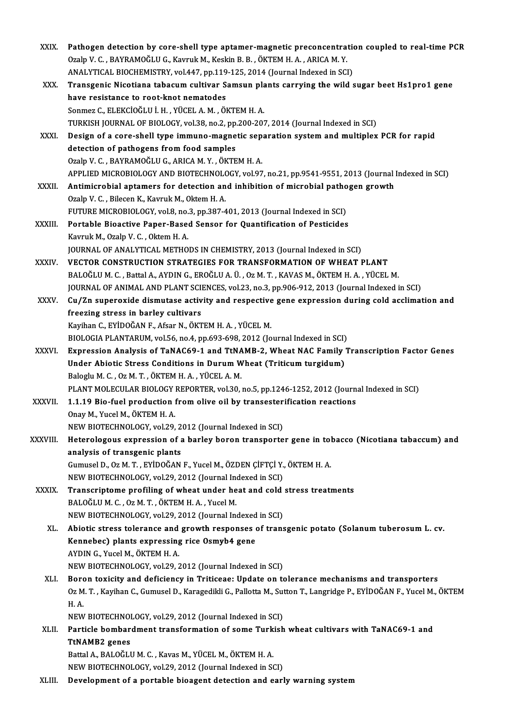| XXIX.         | Pathogen detection by core-shell type aptamer-magnetic preconcentration coupled to real-time PCR                              |
|---------------|-------------------------------------------------------------------------------------------------------------------------------|
|               | Ozalp V. C., BAYRAMOĞLU G., Kavruk M., Keskin B. B., ÖKTEM H. A., ARICA M. Y.                                                 |
|               | ANALYTICAL BIOCHEMISTRY, vol.447, pp.119-125, 2014 (Journal Indexed in SCI)                                                   |
| XXX.          | Transgenic Nicotiana tabacum cultivar Samsun plants carrying the wild sugar beet Hs1pro1 gene                                 |
|               | have resistance to root-knot nematodes                                                                                        |
|               | Sonmez C., ELEKCİOĞLU İ. H., YÜCEL A. M., ÖKTEM H. A.                                                                         |
|               | TURKISH JOURNAL OF BIOLOGY, vol.38, no.2, pp.200-207, 2014 (Journal Indexed in SCI)                                           |
| XXXI.         | Design of a core-shell type immuno-magnetic separation system and multiplex PCR for rapid                                     |
|               | detection of pathogens from food samples                                                                                      |
|               | Ozalp V. C., BAYRAMOĞLU G., ARICA M. Y., ÖKTEM H. A.                                                                          |
|               | APPLIED MICROBIOLOGY AND BIOTECHNOLOGY, vol.97, no.21, pp.9541-9551, 2013 (Journal Indexed in SCI)                            |
| <b>XXXII</b>  | Antimicrobial aptamers for detection and inhibition of microbial pathogen growth                                              |
|               | Ozalp V. C., Bilecen K., Kavruk M., Oktem H. A.                                                                               |
|               | FUTURE MICROBIOLOGY, vol.8, no.3, pp.387-401, 2013 (Journal Indexed in SCI)                                                   |
| <b>XXXIII</b> | Portable Bioactive Paper-Based Sensor for Quantification of Pesticides                                                        |
|               | Kavruk M., Ozalp V. C., Oktem H. A.                                                                                           |
|               | JOURNAL OF ANALYTICAL METHODS IN CHEMISTRY, 2013 (Journal Indexed in SCI)                                                     |
| XXXIV.        | VECTOR CONSTRUCTION STRATEGIES FOR TRANSFORMATION OF WHEAT PLANT                                                              |
|               | BALOĞLU M. C., Battal A., AYDIN G., EROĞLU A. Ü., Oz M. T., KAVAS M., ÖKTEM H. A., YÜCEL M.                                   |
|               | JOURNAL OF ANIMAL AND PLANT SCIENCES, vol.23, no.3, pp.906-912, 2013 (Journal Indexed in SCI)                                 |
| <b>XXXV</b>   | Cu/Zn superoxide dismutase activity and respective gene expression during cold acclimation and                                |
|               | freezing stress in barley cultivars<br>Kayihan C., EYİDOĞAN F., Afsar N., ÖKTEM H. A., YÜCEL M.                               |
|               | BIOLOGIA PLANTARUM, vol.56, no.4, pp.693-698, 2012 (Journal Indexed in SCI)                                                   |
| <b>XXXVI</b>  | Expression Analysis of TaNAC69-1 and TtNAMB-2, Wheat NAC Family Transcription Factor Genes                                    |
|               | Under Abiotic Stress Conditions in Durum Wheat (Triticum turgidum)                                                            |
|               | Baloglu M. C., Oz M. T., ÖKTEM H. A., YÜCEL A. M.                                                                             |
|               | PLANT MOLECULAR BIOLOGY REPORTER, vol.30, no.5, pp.1246-1252, 2012 (Journal Indexed in SCI)                                   |
|               | XXXVII. 1.1.19 Bio-fuel production from olive oil by transesterification reactions                                            |
|               | Onay M, Yucel M, ÖKTEM H.A.                                                                                                   |
|               | NEW BIOTECHNOLOGY, vol.29, 2012 (Journal Indexed in SCI)                                                                      |
| XXXVIII.      | Heterologous expression of a barley boron transporter gene in tobacco (Nicotiana tabaccum) and                                |
|               | analysis of transgenic plants                                                                                                 |
|               | Gumusel D., Oz M. T., EYİDOĞAN F., Yucel M., ÖZDEN ÇİFTÇİ Y., ÖKTEM H. A.                                                     |
|               | NEW BIOTECHNOLOGY, vol.29, 2012 (Journal Indexed in SCI)                                                                      |
| <b>XXXIX</b>  | Transcriptome profiling of wheat under heat and cold stress treatments                                                        |
|               | BALOĞLU M. C., Oz M. T., ÖKTEM H. A., Yucel M.                                                                                |
|               | NEW BIOTECHNOLOGY, vol.29, 2012 (Journal Indexed in SCI)                                                                      |
| XL.           | Abiotic stress tolerance and growth responses of transgenic potato (Solanum tuberosum L. cv.                                  |
|               | Kennebec) plants expressing rice Osmyb4 gene                                                                                  |
|               | AYDIN G., Yucel M., ÖKTEM H. A.                                                                                               |
|               | NEW BIOTECHNOLOGY, vol.29, 2012 (Journal Indexed in SCI)                                                                      |
| XLI.          | Boron toxicity and deficiency in Triticeae: Update on tolerance mechanisms and transporters                                   |
|               | Oz M. T. , Kayihan C., Gumusel D., Karagedikli G., Pallotta M., Sutton T., Langridge P., EYİDOĞAN F., Yucel M., ÖKTEM<br>H.A. |
|               | NEW BIOTECHNOLOGY, vol.29, 2012 (Journal Indexed in SCI)                                                                      |
| XLII.         | Particle bombardment transformation of some Turkish wheat cultivars with TaNAC69-1 and                                        |
|               | <b>TtNAMB2</b> genes                                                                                                          |
|               | Battal A., BALOĞLU M. C., Kavas M., YÜCEL M., ÖKTEM H. A.                                                                     |
|               | NEW BIOTECHNOLOGY, vol.29, 2012 (Journal Indexed in SCI)                                                                      |
| XLIII.        | Development of a portable bioagent detection and early warning system                                                         |
|               |                                                                                                                               |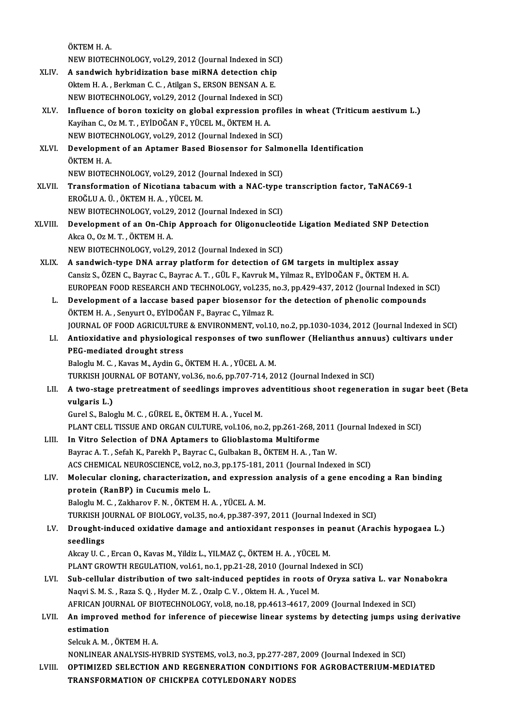ÖKTEMHA.

ÖKTEM H. A.<br>NEW BIOTECHNOLOGY, vol.29, 2012 (Journal Indexed in SCI)<br>A sandwish hybridigation base miPNA detaction ship

- ÖKTEM H. A.<br>NEW BIOTECHNOLOGY, vol.29, 2012 (Journal Indexed in SCI<br>XLIV. A sandwich hybridization base miRNA detection chip<br>Qutem H. A., Borkman G. G., Atikan S., ERSON BENSAN A. E. NEW BIOTECHNOLOGY, vol.29, 2012 (Journal Indexed in SC<br>A sandwich hybridization base miRNA detection chip<br>Oktem H.A., Berkman C.C., Atilgan S., ERSON BENSAN A.E.<br>NEW BIOTECHNOLOCY, vol.20, 2012 (Journal Indoved in SC A sandwich hybridization base miRNA detection chip<br>Oktem H. A. , Berkman C. C. , Atilgan S., ERSON BENSAN A. E.<br>NEW BIOTECHNOLOGY, vol.29, 2012 (Journal Indexed in SCI)
- XLV. Influence of boron toxicity on global expression profiles in wheat (TriticumaestivumL.) NEW BIOTECHNOLOGY, vol.29, 2012 (Journal Indexed in S<br>Influence of boron toxicity on global expression pr<br>Kayihan C., Oz M. T. , EYİDOĞAN F., YÜCEL M., ÖKTEM H. A.<br>NEW PIOTECHNOLOCY vol.29, 2012 (Journal Indoved in S Influence of boron toxicity on global expression profil<br>Kayihan C., Oz M. T. , EYİDOĞAN F., YÜCEL M., ÖKTEM H. A.<br>NEW BIOTECHNOLOGY, vol.29, 2012 (Journal Indexed in SCI)<br>Davelopment of an Antamer Based Biosensor for Salm Kayihan C., Oz M. T. , EYİDOĞAN F., YÜCEL M., ÖKTEM H. A.<br>NEW BIOTECHNOLOGY, vol.29, 2012 (Journal Indexed in SCI)<br>XLVI. Development of an Aptamer Based Biosensor for Salmonella Identification<br>ÖKTEM H. A.
- NEW BIOTECHNOLOGY, vol.29, 2012 (Journal Indexed in SCI)<br>Development of an Aptamer Based Biosensor for Salm<br>ÖKTEM H. A. Development of an Aptamer Based Biosensor for Salme<br>ÖKTEM H. A.<br>NEW BIOTECHNOLOGY, vol.29, 2012 (Journal Indexed in SCI)<br>Transformation of Nisotiana tabasum with a NAC tune

NEW BIOTECHNOLOGY, vol.29, 2012 (Journal Indexed in SCI)

- XLVII. Transformation of Nicotiana tabacum with a NAC-type transcription factor, TaNAC69-1<br>EROĞLU A. Ü., ÖKTEM H. A., YÜCEL M. Transformation of Nicotiana tabacum with a NAC-type<br>EROĞLU A. Ü. , ÖKTEM H. A. , YÜCEL M.<br>NEW BIOTECHNOLOGY, vol.29, 2012 (Journal Indexed in SCI)<br>Development of an On Chin Annreach for Oliganusleet EROĞLU A. Ü. , ÖKTEM H. A. , YÜCEL M.<br>NEW BIOTECHNOLOGY, vol.29, 2012 (Journal Indexed in SCI)<br>XLVIII. Development of an On-Chip Approach for Oligonucleotide Ligation Mediated SNP Detection<br>Also O. OF M. T. ÖKTEM H. A.
- NEW BIOTECHNOLOGY, vol.29<br>Development of an On-Chip<br>Akca O., Oz M. T. , ÖKTEM H. A.<br>NEW BIOTECHNOLOCY, vol.30 Development of an On-Chip Approach for Oligonucleot<br>Akca 0., 0z M. T. , ÖKTEM H. A.<br>NEW BIOTECHNOLOGY, vol.29, 2012 (Journal Indexed in SCI)<br>A sandwish tune DNA aunay platform for datastion of G Akca O., Oz M. T. , ÖKTEM H. A.<br>NEW BIOTECHNOLOGY, vol.29, 2012 (Journal Indexed in SCI)<br>XLIX. A sandwich-type DNA array platform for detection of GM targets in multiplex assay
- Cansiz S.,ÖZENC.,BayracC.,BayracA.T. ,GÜL F.,KavrukM.,YilmazR.,EYİDOĞANF.,ÖKTEMH.A. A sandwich-type DNA array platform for detection of GM targets in multiplex assay<br>Cansiz S., ÖZEN C., Bayrac C., Bayrac A. T. , GÜL F., Kavruk M., Yilmaz R., EYİDOĞAN F., ÖKTEM H. A.<br>EUROPEAN FOOD RESEARCH AND TECHNOLOGY, Cansiz S., ÖZEN C., Bayrac C., Bayrac A. T. , GÜL F., Kavruk M., Yilmaz R., EYİDOĞAN F., ÖKTEM H. A.<br>EUROPEAN FOOD RESEARCH AND TECHNOLOGY, vol.235, no.3, pp.429-437, 2012 (Journal Indexed in S.<br>L. Development of a laccase
	- EUROPEAN FOOD RESEARCH AND TECHNOLOGY, vol.235, r<br>Development of a laccase based paper biosensor for<br>ÖKTEM H. A. , Senyurt O., EYİDOĞAN F., Bayrac C., Yilmaz R.<br>JOUPMAL OF FOOD ACPICULTURE & ENVIRONMENT vol.14 Development of a laccase based paper biosensor for the detection of phenolic compounds<br>ÖKTEM H. A. , Senyurt O., EYİDOĞAN F., Bayrac C., Yilmaz R.<br>JOURNAL OF FOOD AGRICULTURE & ENVIRONMENT, vol.10, no.2, pp.1030-1034, 2012 ÖKTEM H. A. , Senyurt O., EYİDOĞAN F., Bayrac C., Yilmaz R.<br>JOURNAL OF FOOD AGRICULTURE & ENVIRONMENT, vol.10, no.2, pp.1030-1034, 2012 (Journal Indexed in SCI<br>LI. Antioxidative and physiological responses of two sunfl
	- JOURNAL OF FOOD AGRICULTURI<br>Antioxidative and physiologic<br>PEG-mediated drought stress LI. Antioxidative and physiological responses of two sunflower (Helianthus annuus) cultivars under<br>PEG-mediated drought stress<br>Baloglu M. C., Kavas M., Aydin G., ÖKTEM H. A., YÜCEL A. M. PEG-mediated drought stress<br>Baloglu M. C. , Kavas M., Aydin G., ÖKTEM H. A. , YÜCEL A. M.<br>TURKISH JOURNAL OF BOTANY, vol.36, no.6, pp.707-714, 2012 (Journal Indexed in SCI)<br>A two stage pretreatment of seedlings improves ad

LII. A two-stage pretreatment of seedlings improves adventitious shoot regeneration in sugar beet (Beta vulgaris L.) TURKISH JOU<br>A two-stage<br>vulgaris L.)<br>Curel S. Pele

GurelS.,BalogluM.C. ,GÜREL E.,ÖKTEMH.A. ,YucelM.

PLANT CELL TISSUE AND ORGAN CULTURE, vol.106, no.2, pp.261-268, 2011 (Journal Indexed in SCI)

- Gurel S., Baloglu M. C., GÜREL E., ÖKTEM H. A., Yucel M.<br>PLANT CELL TISSUE AND ORGAN CULTURE, vol.106, no.2, pp.261-268, 2<br>LIII. In Vitro Selection of DNA Aptamers to Glioblastoma Multiforme PLANT CELL TISSUE AND ORGAN CULTURE, vol.106, no.2, pp.261-268, 2011<br>In Vitro Selection of DNA Aptamers to Glioblastoma Multiforme<br>Bayrac A. T. , Sefah K., Parekh P., Bayrac C., Gulbakan B., ÖKTEM H. A. , Tan W.<br>ACS CUEMIC Bayrac A. T. , Sefah K., Parekh P., Bayrac C., Gulbakan B., ÖKTEM H. A. , Tan W.<br>ACS CHEMICAL NEUROSCIENCE, vol.2, no.3, pp.175-181, 2011 (Journal Indexed in SCI) Bayrac A. T. , Sefah K., Parekh P., Bayrac C., Gulbakan B., ÖKTEM H. A. , Tan W.<br>ACS CHEMICAL NEUROSCIENCE, vol.2, no.3, pp.175-181, 2011 (Journal Indexed in SCI)<br>LIV. Molecular cloning, characterization, and expression an
- ACS CHEMICAL NEUROSCIENCE, vol.2, no<br>Molecular cloning, characterization,<br>protein (RanBP) in Cucumis melo L.<br>Balagh: M.C. Zaltharov E.N. ÖVTEM H. Molecular cloning, characterization, and expression<br>protein (RanBP) in Cucumis melo L.<br>Baloglu M. C. , Zakharov F. N. , ÖKTEM H. A. , YÜCEL A. M.<br>TURKISH JOURNAL OF BIOLOCY VOLEE DA 4 PR 387-397 protein (RanBP) in Cucumis melo L.<br>Baloglu M. C. , Zakharov F. N. , ÖKTEM H. A. , YÜCEL A. M.<br>TURKISH JOURNAL OF BIOLOGY, vol.35, no.4, pp.387-397, 2011 (Journal Indexed in SCI)<br>Prought induced oxidative damage and antioxi

Baloglu M. C. , Zakharov F. N. , ÖKTEM H. A. , YÜCEL A. M.<br>TURKISH JOURNAL OF BIOLOGY, vol.35, no.4, pp.387-397, 2011 (Journal Indexed in SCI)<br>LV. Drought-induced oxidative damage and antioxidant responses in peanut (A TURKISH JON<br>Drought-i<br>seedlings<br>Akeay U.C. seedlings<br>Akcay U. C. , Ercan O., Kavas M., Yildiz L., YILMAZ Ç., ÖKTEM H. A. , YÜCEL M.<br>PLANT GROWTH REGULATION, vol.61, no.1, pp.21-28, 2010 (Journal Indexed in SCI)<br>Sub. sellular distribution of two selt indused nentide

AkcayU.C. ,ErcanO.,KavasM.,YildizL.,YILMAZ Ç.,ÖKTEMH.A. ,YÜCELM.

Akcay U. C. , Ercan O., Kavas M., Yildiz L., YILMAZ Ç., ÖKTEM H. A. , YÜCEL M.<br>PLANT GROWTH REGULATION, vol.61, no.1, pp.21-28, 2010 (Journal Indexed in SCI)<br>LVI. Sub-cellular distribution of two salt-induced peptides in r PLANT GROWTH REGULATION, vol.61, no.1, pp.21-28, 2010 (Journal Ind<br>Sub-cellular distribution of two salt-induced peptides in roots of<br>Naqvi S. M. S. , Raza S. Q. , Hyder M. Z. , Ozalp C. V. , Oktem H. A. , Yucel M.<br>AERICAN Sub-cellular distribution of two salt-induced peptides in roots of Oryza sativa L. var Non<br>Naqvi S. M. S. , Raza S. Q. , Hyder M. Z. , Ozalp C. V. , Oktem H. A. , Yucel M.<br>AFRICAN JOURNAL OF BIOTECHNOLOGY, vol.8, no.18, pp Naqvi S. M. S. , Raza S. Q. , Hyder M. Z. , Ozalp C. V. , Oktem H. A. , Yucel M.<br>AFRICAN JOURNAL OF BIOTECHNOLOGY, vol.8, no.18, pp.4613-4617, 2009 (Journal Indexed in SCI)<br>LVII. An improved method for inference of piecewi

## AFRICAN JOURNAL OF BIOTECHNOLOGY, vol.8, no.18, pp.4613-4617, 2009 (Journal Indexed in SCI)<br>An improved method for inference of piecewise linear systems by detecting jumps using<br>estimation<br>Selcuk A. M., ÖKTEM H. A. An improved method fo<br>estimation<br>Selcuk A.M. , ÖKTEM H. A.<br>NONI INEAP ANALYSIS HY

NONLINEARANALYSIS-HYBRIDSYSTEMS,vol.3,no.3,pp.277-287,2009 (Journal Indexed inSCI)

LVI I. OPTIMIZED SELECTION AND REGENERATION CONDITIONS FOR AGROBACTERIUM-MEDIATED NONLINEAR ANALYSIS-HYBRID SYSTEMS, vol.3, no.3, pp.277-287<br>OPTIMIZED SELECTION AND REGENERATION CONDITION:<br>TRANSFORMATION OF CHICKPEA COTYLEDONARY NODES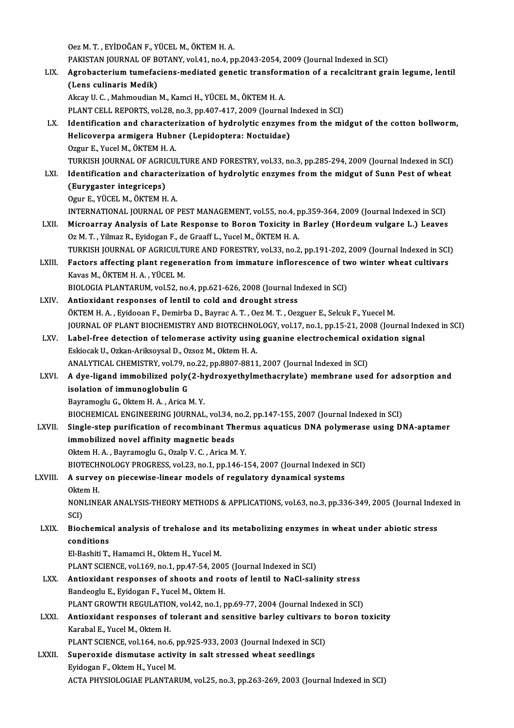OezM.T. ,EYİDOĞANF.,YÜCELM.,ÖKTEMH.A.

Oez M. T. , EYİDOĞAN F., YÜCEL M., ÖKTEM H. A.<br>PAKISTAN JOURNAL OF BOTANY, vol.41, no.4, pp.2043-2054, 2009 (Journal Indexed in SCI)<br>Agrabasterium tumafasians, mediated genetis transformation of a resalsitrant sus

LIX. Agrobacterium tumefaciens-mediated genetic transformation of a recalcitrant grain legume, lentil (Lens culinaris Medik) PAKISTAN JOURNAL OF BOTTAN<br>Agrobacterium tumeface<br>(Lens culinaris Medik) (Lens culinaris Medik)<br>Akcay U. C. , Mahmoudian M., Kamci H., YÜCEL M., ÖKTEM H. A.<br>PLANT CELL REPORTS, vol.28, no.3, pp.407-417, 2009 (Journal Indexed in SCI)<br>Identification and characterization of hydrolytic engymes from

Akcay U. C., Mahmoudian M., Kamci H., YÜCEL M., ÖKTEM H. A.

- Akcay U. C. , Mahmoudian M., Kamci H., YÜCEL M., ÖKTEM H. A.<br>PLANT CELL REPORTS, vol.28, no.3, pp.407-417, 2009 (Journal Indexed in SCI)<br>LX. Identification and characterization of hydrolytic enzymes from the midgut of the PLANT CELL REPORTS, vol.28, no.3, pp.407-417, 2009 (Journal I<br>Identification and characterization of hydrolytic enzyme<br>Helicoverpa armigera Hubner (Lepidoptera: Noctuidae)<br>Ozzur E. Vucel M. ÖVTEM H.A Identification and character<br>Helicoverpa armigera Hubn<br>Ozgur E., Yucel M., ÖKTEM H. A.<br>TURKISH JOURNAL OF ACRICUI Helicoverpa armigera Hubner (Lepidoptera: Noctuidae)<br>Ozgur E., Yucel M., ÖKTEM H. A.<br>TURKISH JOURNAL OF AGRICULTURE AND FORESTRY, vol.33, no.3, pp.285-294, 2009 (Journal Indexed in SCI)<br>Identification and sharasterization
- Ozgur E., Yucel M., ÖKTEM H. A.<br>TURKISH JOURNAL OF AGRICULTURE AND FORESTRY, vol.33, no.3, pp.285-294, 2009 (Journal Indexed in SCI)<br>LXI. Identification and characterization of hydrolytic enzymes from the midgut of Sunn Pe TURKISH JOURNAL OF AGRIC<br>Identification and charac<br>(Eurygaster integriceps)<br>Ogur E. VÜCEL M. ÖKTEM H **Identification and character<br>(Eurygaster integriceps)<br>Ogur E., YÜCEL M., ÖKTEM H. A.<br>INTERNATIONAL JOURNAL OF I** (Eurygaster integriceps)<br>Ogur E., YÜCEL M., ÖKTEM H. A.<br>INTERNATIONAL JOURNAL OF PEST MANAGEMENT, vol.55, no.4, pp.359-364, 2009 (Journal Indexed in SCI)<br>Misroerney, Anelysis of Late Besponse to Boron Toyjsity in Berley (H
	-

Ogur E., YÜCEL M., ÖKTEM H. A.<br>INTERNATIONAL JOURNAL OF PEST MANAGEMENT, vol.55, no.4, pp.359-364, 2009 (Journal Indexed in SCI)<br>LXII. Microarray Analysis of Late Response to Boron Toxicity in Barley (Hordeum vulgare L.) L Microarray Analysis of Late Response to Boron Toxicity in Barley (Hordeum vulgare L.) Leaves Oz M. T., Yilmaz R., Eyidogan F., de Graaff L., Yucel M., ÖKTEM H. A. Microarray Analysis of Late Response to Boron Toxicity in Barley (Hordeum vulgare L.) Leaves<br>Oz M. T. , Yilmaz R., Eyidogan F., de Graaff L., Yucel M., ÖKTEM H. A.<br>TURKISH JOURNAL OF AGRICULTURE AND FORESTRY, vol.33, no.2,

LXIII. Factors affecting plant regeneration from immature inflorescence of two winter wheat cultivars<br>Kavas M., ÖKTEM H. A., YÜCEL M. TURKISH JOURNAL OF AGRICULT<br>Factors affecting plant regene<br>Kavas M., ÖKTEM H.A. , YÜCEL M.<br>PIOLOGIA PLANTAPIJM val52. pa

BIOLOGIA PLANTARUM, vol.52, no.4, pp.621-626, 2008 (Journal Indexed in SCI)

LXIV. Antioxidant responses of lentil to cold and drought stress ÖKTEMH.A. ,EyidooanF.,DemirbaD.,BayracA.T. ,OezM.T. ,Oezguer E.,SelcukF.,YuecelM. Antioxidant responses of lentil to cold and drought stress<br>ÖKTEM H. A. , Eyidooan F., Demirba D., Bayrac A. T. , Oez M. T. , Oezguer E., Selcuk F., Yuecel M.<br>JOURNAL OF PLANT BIOCHEMISTRY AND BIOTECHNOLOGY, vol.17, no.1, p ÖKTEM H. A., Eyidooan F., Demirba D., Bayrac A. T., Oez M. T., Oezguer E., Selcuk F., Yuecel M.<br>JOURNAL OF PLANT BIOCHEMISTRY AND BIOTECHNOLOGY, vol.17, no.1, pp.15-21, 2008 (Journal Inde<br>LXV. Label-free detection of telom

JOURNAL OF PLANT BIOCHEMISTRY AND BIOTECHNO<br>Label-free detection of telomerase activity using<br>Eskiocak U., Ozkan-Ariksoysal D., Ozsoz M., Oktem H. A.<br>ANALYTICAL CHEMISTRY vol 79 no 22 nn 8807 8811 Label-free detection of telomerase activity using guanine electrochemical ox<br>Eskiocak U., Ozkan-Ariksoysal D., Ozsoz M., Oktem H. A.<br>ANALYTICAL CHEMISTRY, vol.79, no.22, pp.8807-8811, 2007 (Journal Indexed in SCI)<br>A due li

## Eskiocak U., Ozkan-Ariksoysal D., Ozsoz M., Oktem H. A.<br>ANALYTICAL CHEMISTRY, vol.79, no.22, pp.8807-8811, 2007 (Journal Indexed in SCI)<br>LXVI. A dye-ligand immobilized poly(2-hydroxyethylmethacrylate) membrane used for ads ANALYTICAL CHEMISTRY, vol.79, n<br>A dye-ligand immobilized poly<br>isolation of immunoglobulin G<br>Bayramaghy C. Oltam H.A., Arica l A dye-ligand immobilized poly(2-h)<br>isolation of immunoglobulin G<br>Bayramoglu G., Oktem H.A., Arica M.Y.<br>PIOCHEMICAL ENGINEERING JOURNAL isolation of immunoglobulin G<br>Bayramoglu G., Oktem H. A. , Arica M. Y.<br>BIOCHEMICAL ENGINEERING JOURNAL, vol.34, no.2, pp.147-155, 2007 (Journal Indexed in SCI)<br>Single eten purification of recombinent Thermus aguatious DNA

## Bayramoglu G., Oktem H. A., Arica M. Y.<br>BIOCHEMICAL ENGINEERING JOURNAL, vol.34, no.2, pp.147-155, 2007 (Journal Indexed in SCI)<br>LXVII. Single-step purification of recombinant Thermus aquaticus DNA polymerase using DNA-apt BIOCHEMICAL ENGINEERING JOURNAL, vol.34, i<br>Single-step purification of recombinant Theorem<br>immobilized novel affinity magnetic beads<br>Oltem H.A., Bouramaghu G. Oraln V.C., Arise M. immobilized novel affinity magnetic beads<br>Oktem H. A. , Bayramoglu G., Ozalp V. C. , Arica M. Y.<br>BIOTECHNOLOGY PROGRESS, vol.23, no.1, pp.146-154, 2007 (Journal Indexed in SCI)<br>A survey on piscovice linear models of negula

OktemH.A. ,BayramogluG.,OzalpV.C. ,AricaM.Y.

## LXVIII. A survey on piecewise-linear models of regulatory dynamical systems<br>Oktem H. BIOTECH<br>A survey<br>Oktem H.<br>NONI INE

A survey on piecewise-linear models of regulatory dynamical systems<br>Oktem H.<br>NONLINEAR ANALYSIS-THEORY METHODS & APPLICATIONS, vol.63, no.3, pp.336-349, 2005 (Journal Indexed in<br>SCD Okter<br>NON<br>SCI)<br>Biog NONLINEAR ANALYSIS-THEORY METHODS & APPLICATIONS, vol.63, no.3, pp.336-349, 2005 (Journal Inde<br>SCI)<br>LXIX. Biochemical analysis of trehalose and its metabolizing enzymes in wheat under abiotic stress<br>conditions

## SCI)<br>Biochemica<br>conditions<br>El Bashiti T conditions<br>El-Bashiti T., Hamamci H., Oktem H., Yucel M. conditions<br>El-Bashiti T., Hamamci H., Oktem H., Yucel M.<br>PLANT SCIENCE, vol.169, no.1, pp.47-54, 2005 (Journal Indexed in SCI)<br>Antioxident responses of shoots and reets of lantil to NeCl seli

## El-Bashiti T., Hamamci H., Oktem H., Yucel M.<br>PLANT SCIENCE, vol.169, no.1, pp.47-54, 2005 (Journal Indexed in SCI)<br>LXX. Antioxidant responses of shoots and roots of lentil to NaCl-salinity stress<br>Pendescly E. Evidesen E. PLANT SCIENCE, vol.169, no.1, pp.47-54, 200!<br>Antioxidant responses of shoots and roo<br>Bandeoglu E., Eyidogan F., Yucel M., Oktem H.<br>BLANT CROWTH RECULATION vol.42, no.1, r Antioxidant responses of shoots and roots of lentil to NaCl-salinity stress<br>Bandeoglu E., Eyidogan F., Yucel M., Oktem H.<br>PLANT GROWTH REGULATION, vol.42, no.1, pp.69-77, 2004 (Journal Indexed in SCI)<br>Antioxidant responses

PLANT GROWTH REGULATION, vol.42, no.1, pp.69-77, 2004 (Journal Indexed in SCI)

## Bandeoglu E., Eyidogan F., Yucel M., Oktem H.<br>PLANT GROWTH REGULATION, vol.42, no.1, pp.69-77, 2004 (Journal Indexed in SCI)<br>LXXI. Antioxidant responses of tolerant and sensitive barley cultivars to boron toxicity<br>Karabal Antioxidant responses of tolerant and sensitive barley cultivars t<br>Karabal E., Yucel M., Oktem H.<br>PLANT SCIENCE, vol.164, no.6, pp.925-933, 2003 (Journal Indexed in SCI)<br>Superevide diamutase estivity in selt stressed wheet

Karabal E., Yucel M., Oktem H.<br>PLANT SCIENCE, vol.164, no.6, pp.925-933, 2003 (Journal Indexed in Strature Superoxide dismutase activity in salt stressed wheat seedlings PLANT SCIENCE, vol.164, no.6,<br>Superoxide dismutase activ<br>Eyidogan F., Oktem H., Yucel M.<br>ACTA PHYSIOLOGIAE PLANTAE Superoxide dismutase activity in salt stressed wheat seedlings<br>Eyidogan F., Oktem H., Yucel M.<br>ACTA PHYSIOLOGIAE PLANTARUM, vol.25, no.3, pp.263-269, 2003 (Journal Indexed in SCI)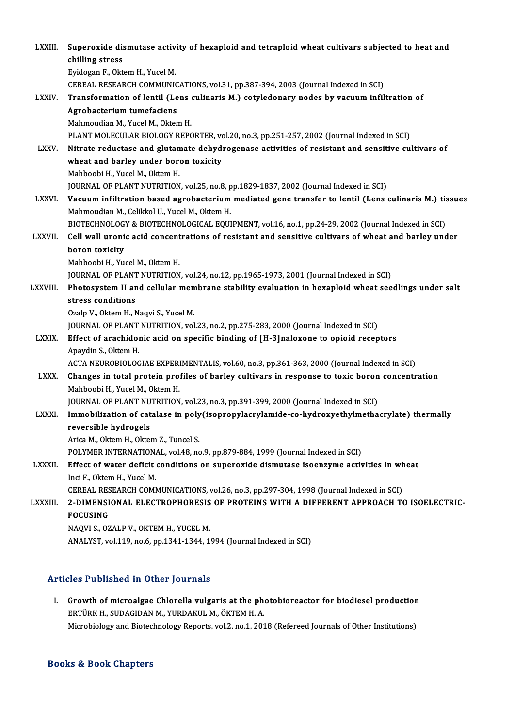| LXXIII.      | Superoxide dismutase activity of hexaploid and tetraploid wheat cultivars subjected to heat and                                                     |
|--------------|-----------------------------------------------------------------------------------------------------------------------------------------------------|
|              | chilling stress                                                                                                                                     |
|              | Eyidogan F., Oktem H., Yucel M.                                                                                                                     |
|              | CEREAL RESEARCH COMMUNICATIONS, vol.31, pp.387-394, 2003 (Journal Indexed in SCI)                                                                   |
| <b>LXXIV</b> | Transformation of lentil (Lens culinaris M.) cotyledonary nodes by vacuum infiltration of                                                           |
|              | Agrobacterium tumefaciens                                                                                                                           |
|              | Mahmoudian M., Yucel M., Oktem H.                                                                                                                   |
|              | PLANT MOLECULAR BIOLOGY REPORTER, vol.20, no.3, pp.251-257, 2002 (Journal Indexed in SCI)                                                           |
| <b>LXXV</b>  | Nitrate reductase and glutamate dehydrogenase activities of resistant and sensitive cultivars of                                                    |
|              | wheat and barley under boron toxicity                                                                                                               |
|              | Mahboobi H., Yucel M., Oktem H.                                                                                                                     |
|              | JOURNAL OF PLANT NUTRITION, vol.25, no.8, pp.1829-1837, 2002 (Journal Indexed in SCI)                                                               |
| <b>LXXVI</b> | Vacuum infiltration based agrobacterium mediated gene transfer to lentil (Lens culinaris M.) tissues                                                |
|              | Mahmoudian M., Celikkol U., Yucel M., Oktem H.<br>BIOTECHNOLOGY & BIOTECHNOLOGICAL EQUIPMENT, vol.16, no.1, pp.24-29, 2002 (Journal Indexed in SCI) |
| LXXVII.      | Cell wall uronic acid concentrations of resistant and sensitive cultivars of wheat and barley under                                                 |
|              | boron toxicity                                                                                                                                      |
|              | Mahboobi H., Yucel M., Oktem H.                                                                                                                     |
|              | JOURNAL OF PLANT NUTRITION, vol.24, no.12, pp.1965-1973, 2001 (Journal Indexed in SCI)                                                              |
| LXXVIII.     | Photosystem II and cellular membrane stability evaluation in hexaploid wheat seedlings under salt                                                   |
|              | stress conditions                                                                                                                                   |
|              | Ozalp V., Oktem H., Naqvi S., Yucel M.                                                                                                              |
|              | JOURNAL OF PLANT NUTRITION, vol.23, no.2, pp.275-283, 2000 (Journal Indexed in SCI)                                                                 |
| <b>LXXIX</b> | Effect of arachidonic acid on specific binding of [H-3]naloxone to opioid receptors                                                                 |
|              | Apaydin S., Oktem H.                                                                                                                                |
|              | ACTA NEUROBIOLOGIAE EXPERIMENTALIS, vol.60, no.3, pp.361-363, 2000 (Journal Indexed in SCI)                                                         |
| <b>LXXX</b>  | Changes in total protein profiles of barley cultivars in response to toxic boron concentration                                                      |
|              | Mahboobi H., Yucel M., Oktem H.                                                                                                                     |
|              | JOURNAL OF PLANT NUTRITION, vol.23, no.3, pp.391-399, 2000 (Journal Indexed in SCI)                                                                 |
| <b>LXXXI</b> | Immobilization of catalase in poly(isopropylacrylamide-co-hydroxyethylmethacrylate) thermally                                                       |
|              | reversible hydrogels                                                                                                                                |
|              | Arica M., Oktem H., Oktem Z., Tuncel S.                                                                                                             |
|              | POLYMER INTERNATIONAL, vol.48, no.9, pp.879-884, 1999 (Journal Indexed in SCI)                                                                      |
| LXXXII.      | Effect of water deficit conditions on superoxide dismutase isoenzyme activities in wheat                                                            |
|              | Inci F, Oktem H, Yucel M.                                                                                                                           |
|              | CEREAL RESEARCH COMMUNICATIONS, vol.26, no.3, pp.297-304, 1998 (Journal Indexed in SCI)                                                             |
| LXXXIII.     | 2-DIMENSIONAL ELECTROPHORESIS OF PROTEINS WITH A DIFFERENT APPROACH TO ISOELECTRIC-                                                                 |
|              | <b>FOCUSING</b>                                                                                                                                     |
|              | NAQVI S., OZALP V., OKTEM H., YUCEL M.                                                                                                              |
|              | ANALYST, vol.119, no.6, pp.1341-1344, 1994 (Journal Indexed in SCI)                                                                                 |
|              |                                                                                                                                                     |

### Articles Published in Other Journals

I. Growth of microalgae Chlorella vulgaris at the photobioreactor for biodiesel production<br>I. Growth of microalgae Chlorella vulgaris at the photobioreactor for biodiesel production SEE I HEIBHEH II OTHEI JOHT HEIB<br>Growth of microalgae Chlorella vulgaris at the ph<br>ERTÜRK H., SUDAGIDAN M., YURDAKUL M., ÖKTEM H. A.<br>Microbiology and Bistechnology Banerts val 3 no.1, 201 ERTÜRK H., SUDAGIDAN M., YURDAKUL M., ÖKTEM H. A.<br>Microbiology and Biotechnology Reports, vol.2, no.1, 2018 (Refereed Journals of Other Institutions)

### Books&Book Chapters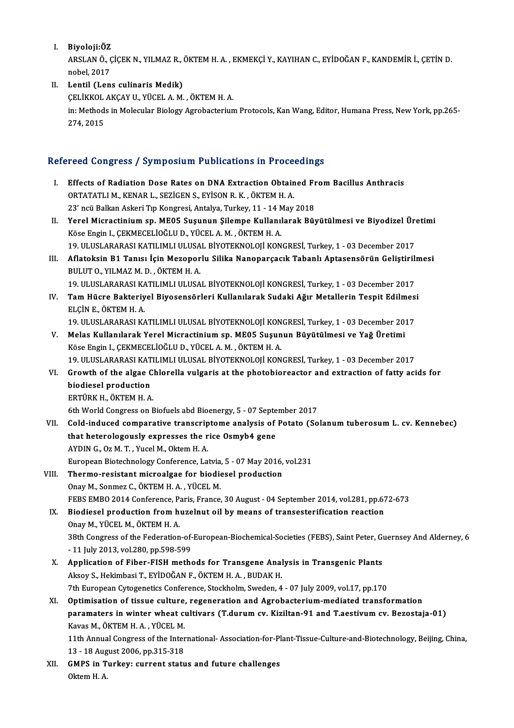I. Biyoloji:ÖZ

ARSLAN Ö., ÇİÇEK N., YILMAZ R., ÖKTEM H. A. , EKMEKÇİ Y., KAYIHAN C., EYİDOĞAN F., KANDEMİR İ., ÇETİN D.<br>nobel, 2017 Bi<mark>yoloji:ÖZ</mark><br>ARSLAN Ö., (<br>nobel, 2017<br>Lantil (Lan nobel, 2017<br>Lentil (Lens culinaris Medik)<br>ÇELİKKOL AKÇAY U., YÜCEL A. M. , ÖKTEM H. A.<br>inı Methods in Melecular Bielegy Astebasteriyu

II. Lentil (Lens culinaris Medik)

in: Methods in Molecular Biology Agrobacterium Protocols, Kan Wang, Editor, Humana Press, New York, pp.265-274, 2015 ÇELİKKOL<br>in: Method:<br>274, 2015

### Refereed Congress / Symposium Publications in Proceedings

- I. Effects of Radiation Dose Rates on DNA Extraction Obtained From Bacillus Anthracis ORTATATLIM.,KENARL.,SEZİGENS.,EYİSONR.K. ,ÖKTEMH.A. 23' ncü Balkan Askeri Tıp Kongresi, Antalya, Turkey, 11 - 14 May 2018
- II. Yerel Micractinium sp. ME05 Suşunun Şilempe Kullanılarak Büyütülmesi ve Biyodizel Üretimi KöseEnginI.,ÇEKMECELİOĞLUD.,YÜCELA.M. ,ÖKTEMH.A. Yerel Micractinium sp. ME05 Suşunun Şilempe Kullanılarak Büyütülmesi ve Biyodizel Üre<br>Köse Engin I., ÇEKMECELİOĞLU D., YÜCEL A. M. , ÖKTEM H. A.<br>19. ULUSLARARASI KATILIMLI ULUSAL BİYOTEKNOLOJİ KONGRESİ, Turkey, 1 - 03 Dece Köse Engin I., ÇEKMECELİOĞLU D., YÜCEL A. M. , ÖKTEM H. A.<br>19. ULUSLARARASI KATILIMLI ULUSAL BİYOTEKNOLOJİ KONGRESİ, Turkey, 1 - 03 December 2017<br>III. Aflatoksin B1 Tanısı İçin Mezoporlu Silika Nanoparçacık Tabanlı Aptasen
- 19. ULUSLARARASI KATILIMLI ULUSA<br>Aflatoksin B1 Tanısı İçin Mezopor<br>BULUT O., YILMAZ M. D. , ÖKTEM H. A.<br>10. ULUSLARARASI KATU IMLI ULUSA Aflatoksin B1 Tanısı İçin Mezoporlu Silika Nanoparçacık Tabanlı Aptasensörün Geliştiril:<br>BULUT O., YILMAZ M. D. , ÖKTEM H. A.<br>19. ULUSLARARASI KATILIMLI ULUSAL BİYOTEKNOLOJİ KONGRESİ, Turkey, 1 - 03 December 2017<br>Tam Hüsre BULUT O., YILMAZ M. D. , ÖKTEM H. A.<br>19. ULUSLARARASI KATILIMLI ULUSAL BİYOTEKNOLOJİ KONGRESİ, Turkey, 1 - 03 December 2017<br>IV. Tam Hücre Bakteriyel Biyosensörleri Kullanılarak Sudaki Ağır Metallerin Tespit Edilmesi<br>EL
- 19. ULUSLARARASI KATILIMLI ULUSAL BİYOTEKNOLOJİ KONGRESİ, Turkey, 1 03 December 2017<br>Tam Hücre Bakteriyel Biyosensörleri Kullanılarak Sudaki Ağır Metallerin Tespit Edilmes<br>ELÇİN E., ÖKTEM H. A.<br>19. ULUSLARARASI KATILIMLI Tam Hücre Bakteriyel Biyosensörleri Kullanılarak Sudaki Ağır Metallerin Tespit Edilmes<br>ELÇİN E., ÖKTEM H. A.<br>19. ULUSLARARASI KATILIMLI ULUSAL BİYOTEKNOLOJİ KONGRESİ, Turkey, 1 - 03 December 2017<br>Melas Kullanılarak Yaral M

- ELÇİN E., ÖKTEM H. A.<br>19. ULUSLARARASI KATILIMLI ULUSAL BİYOTEKNOLOJİ KONGRESİ, Turkey, 1 03 December 20.<br>19. Melas Kullanılarak Yerel Micractinium sp. ME05 Suşunun Büyütülmesi ve Yağ Üretimi 19. ULUSLARARASI KATILIMLI ULUSAL BİYOTEKNOLOJİ KON<br>Melas Kullanılarak Yerel Micractinium sp. ME05 Suşun<br>Köse Engin I., ÇEKMECELİOĞLU D., YÜCEL A. M. , ÖKTEM H. A.<br>19. ULUSLARARASI KATILIMLI IILISAL RİYOTEKNOLOJİ KON Melas Kullanılarak Yerel Micractinium sp. ME05 Suşunun Büyütülmesi ve Yağ Üretimi<br>Köse Engin I., ÇEKMECELİOĞLU D., YÜCEL A. M. , ÖKTEM H. A.<br>19. ULUSLARARASI KATILIMLI ULUSAL BİYOTEKNOLOJİ KONGRESİ, Turkey, 1 - 03 December Köse Engin I., ÇEKMECELİOĞLU D., YÜCEL A. M. , ÖKTEM H. A.<br>19. ULUSLARARASI KATILIMLI ULUSAL BİYOTEKNOLOJİ KONGRESİ, Turkey, 1 - 03 December 2017<br>VI. Growth of the algae Chlorella vulgaris at the photobioreactor and extrac
- 19. ULUSLARARASI KAT<br>Growth of the algae C<br>biodiesel production<br>EPT<sup>(IDV</sup> H OVTEM H A Growth of the algae C.<br>biodiesel production<br>ERTÜRK H., ÖKTEM H. A.<br>Eth World Congress on E biodiesel production<br>ERTÜRK H., ÖKTEM H. A.<br>6th World Congress on Biofuels abd Bioenergy, 5 - 07 September 2017<br>Cold indused componative transcriptome apolysis of Potate (Se

- ERTÜRK H., ÖKTEM H. A.<br>6th World Congress on Biofuels abd Bioenergy, 5 07 September 2017<br>VII. Cold-induced comparative transcriptome analysis of Potato (Solanum tuberosum L. cv. Kennebec)<br>that betarelagevely expresses th 6th World Congress on Biofuels abd Bioenergy, 5 - 07 Septe<br>Cold-induced comparative transcriptome analysis of<br>that heterologously expresses the rice Osmyb4 gene<br>AVDIN C. Or M.T. Vusel M. Oktom H.A. Cold-induced comparative transcrip<br>that heterologously expresses the r<br>AYDIN G., Oz M. T. , Yucel M., Oktem H. A.<br>European Bistechnology Conference, Le that heterologously expresses the rice Osmyb4 gene<br>AYDIN G., Oz M. T., Yucel M., Oktem H. A.<br>European Biotechnology Conference, Latvia, 5 - 07 May 2016, vol.231 AYDIN G., 0z M. T., Yucel M., Oktem H. A.<br>European Biotechnology Conference, Latvia, 5 - 07 May 2016,<br>VIII. Thermo-resistant microalgae for biodiesel production<br>Oney M. Sonmer C. ÖVTEM H. A., VÜCEL M.
- European Biotechnology Conference, Latvia<br>Thermo-resistant microalgae for biodio<br>Onay M., Sonmez C., ÖKTEM H. A. , YÜCEL M.<br>EERS EMPO 2014 Conference, Paris, Erance Onay M., Sonmez C., ÖKTEM H. A., YÜCEL M.<br>FEBS EMBO 2014 Conference, Paris, France, 30 August - 04 September 2014, vol.281, pp.672-673

### IX. Biodiesel production fromhuzelnut oil bymeans of transesterification reaction OnayM.,YÜCELM.,ÖKTEMH.A. 38thCongress of the Federation from huzelnut oil by means of transesterification reaction<br>Congress of the Federation-of-European-Biochemical-Societies (FEBS), Saint Peter, Guernsey And Alderney, 6<br>11 July 2012, vol 280, pp Onay M., YÜCEL M., ÖKTEM H. A.<br>38th Congress of the Federation-of-<br>- 11 July 2013, vol.280, pp.598-599<br>Annligation of Eiber EISH mathe 38th Congress of the Federation-of-European-Biochemical-Societies (FEBS), Saint Peter, Gunden-FISH methods for Transgene Analysis in Transgenic Plants<br>X. Application of Fiber-FISH methods for Transgene Analysis in Transgen

- 11 July 2013, vol.280, pp.598-599<br>X. Application of Fiber-FISH methods for Transgene Analysis in Transgenic Plants<br>Aksoy S., Hekimbasi T., EYİDOĞAN F., ÖKTEM H. A. , BUDAK H. 7th European Cytogenetics Conference, Stockholm, Sweden, 4 - 07 July 2009, vol.17, pp.170 Aksoy S., Hekimbasi T., EYİDOĞAN F., ÖKTEM H. A. , BUDAK H.<br>7th European Cytogenetics Conference, Stockholm, Sweden, 4 - 07 July 2009, vol.17, pp.170<br>XI. Optimisation of tissue culture, regeneration and Agrobacterium-media
- 7th European Cytogenetics Conference, Stockholm, Sweden, 4 07 July 2009, vol.17, pp.170<br>Optimisation of tissue culture, regeneration and Agrobacterium-mediated transformation<br>paramaters in winter wheat cultivars (T.durum Optimisation of tissue culture,<br>paramaters in winter wheat culture<br>Kavas M., ÖKTEM H.A. , YÜCEL M.<br>11th Annual Congress of the Inter paramaters in winter wheat cultivars (T.durum cv. Kiziltan-91 and T.aestivum cv. Bezostaja-01)<br>Kavas M., ÖKTEM H. A. , YÜCEL M.<br>11th Annual Congress of the International- Association-for-Plant-Tissue-Culture-and-Biotechnol

Kavas M., ÖKTEM H. A. , YÜCEL M.<br>11th Annual Congress of the Inter<br>13 - 18 August 2006, pp.315-318 13 - 18 August 2006, pp 315-318

XII. GMPS in Turkey: current status and future challenges<br>Oktem H. A.